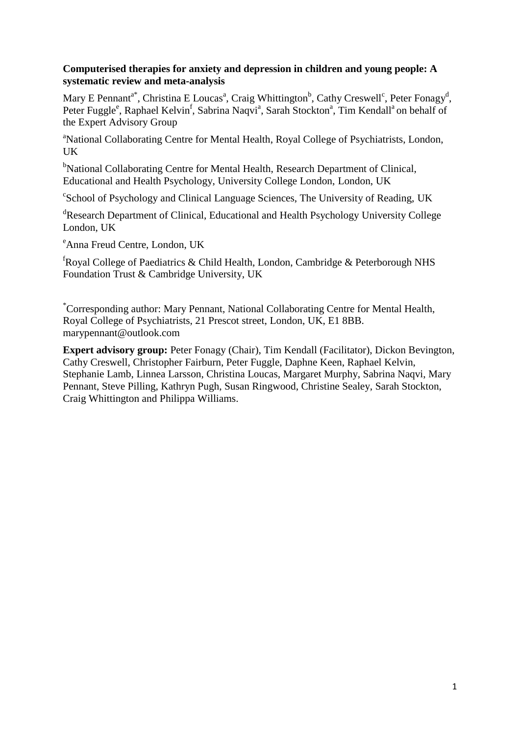## **Computerised therapies for anxiety and depression in children and young people: A systematic review and meta-analysis**

Mary E Pennant<sup>a\*</sup>, Christina E Loucas<sup>a</sup>, Craig Whittington<sup>b</sup>, Cathy Creswell<sup>c</sup>, Peter Fonagy<sup>d</sup>, Peter Fuggle<sup>e</sup>, Raphael Kelvin<sup>f</sup>, Sabrina Naqvi<sup>a</sup>, Sarah Stockton<sup>a</sup>, Tim Kendall<sup>a</sup> on behalf of the Expert Advisory Group

<sup>a</sup>National Collaborating Centre for Mental Health, Royal College of Psychiatrists, London, UK

<sup>b</sup>National Collaborating Centre for Mental Health, Research Department of Clinical, Educational and Health Psychology, University College London, London, UK

<sup>c</sup>School of Psychology and Clinical Language Sciences, The University of Reading, UK

<sup>d</sup>Research Department of Clinical, Educational and Health Psychology University College London, UK

<sup>e</sup>Anna Freud Centre, London, UK

 $f_{\text{Royal}}$  College of Paediatrics & Child Health, London, Cambridge & Peterborough NHS Foundation Trust & Cambridge University, UK

\*Corresponding author: Mary Pennant, National Collaborating Centre for Mental Health, Royal College of Psychiatrists, 21 Prescot street, London, UK, E1 8BB. marypennant@outlook.com

**Expert advisory group:** Peter Fonagy (Chair), Tim Kendall (Facilitator), Dickon Bevington, Cathy Creswell, Christopher Fairburn, Peter Fuggle, Daphne Keen, Raphael Kelvin, Stephanie Lamb, Linnea Larsson, Christina Loucas, Margaret Murphy, Sabrina Naqvi, Mary Pennant, Steve Pilling, Kathryn Pugh, Susan Ringwood, Christine Sealey, Sarah Stockton, Craig Whittington and Philippa Williams.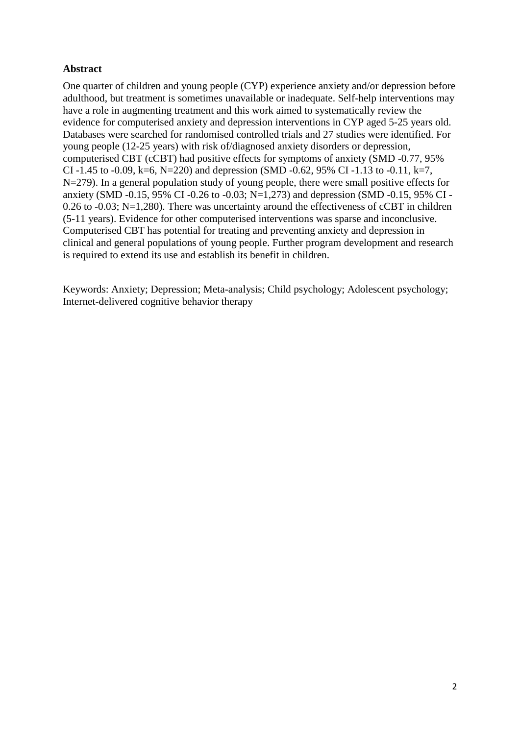## **Abstract**

One quarter of children and young people (CYP) experience anxiety and/or depression before adulthood, but treatment is sometimes unavailable or inadequate. Self-help interventions may have a role in augmenting treatment and this work aimed to systematically review the evidence for computerised anxiety and depression interventions in CYP aged 5-25 years old. Databases were searched for randomised controlled trials and 27 studies were identified. For young people (12-25 years) with risk of/diagnosed anxiety disorders or depression, computerised CBT (cCBT) had positive effects for symptoms of anxiety (SMD -0.77, 95% CI-1.45 to -0.09, k=6, N=220) and depression (SMD -0.62, 95% CI-1.13 to -0.11, k=7, N=279). In a general population study of young people, there were small positive effects for anxiety (SMD -0.15, 95% CI -0.26 to -0.03; N=1,273) and depression (SMD -0.15, 95% CI - 0.26 to -0.03; N=1,280). There was uncertainty around the effectiveness of cCBT in children (5-11 years). Evidence for other computerised interventions was sparse and inconclusive. Computerised CBT has potential for treating and preventing anxiety and depression in clinical and general populations of young people. Further program development and research is required to extend its use and establish its benefit in children.

Keywords: Anxiety; Depression; Meta-analysis; Child psychology; Adolescent psychology; Internet-delivered cognitive behavior therapy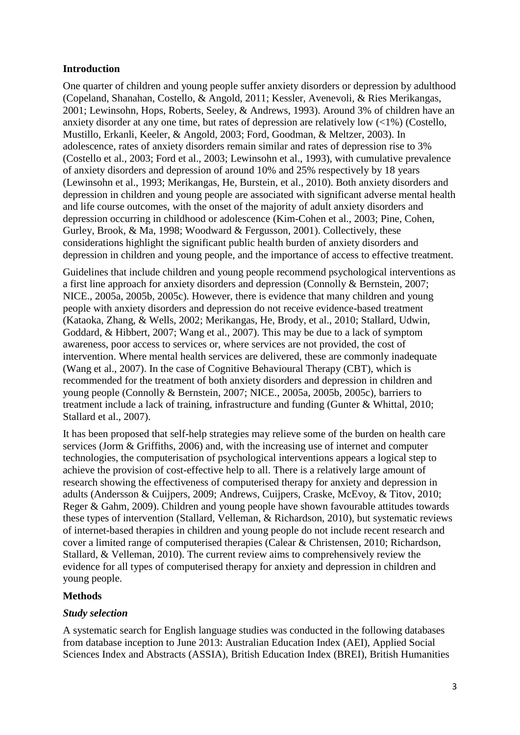## **Introduction**

One quarter of children and young people suffer anxiety disorders or depression by adulthood [\(Copeland, Shanahan, Costello, & Angold, 2011;](#page-12-0) [Kessler, Avenevoli, & Ries Merikangas,](#page-13-0)  [2001;](#page-13-0) [Lewinsohn, Hops, Roberts, Seeley, & Andrews, 1993\)](#page-13-1). Around 3% of children have an anxiety disorder at any one time, but rates of depression are relatively low (<1%) [\(Costello,](#page-12-1)  [Mustillo, Erkanli, Keeler, & Angold, 2003;](#page-12-1) [Ford, Goodman, & Meltzer, 2003\)](#page-12-2). In adolescence, rates of anxiety disorders remain similar and rates of depression rise to 3% [\(Costello et al., 2003;](#page-12-1) [Ford et al., 2003;](#page-12-2) [Lewinsohn et al., 1993\)](#page-13-1), with cumulative prevalence of anxiety disorders and depression of around 10% and 25% respectively by 18 years [\(Lewinsohn et al., 1993;](#page-13-1) [Merikangas, He, Burstein, et al., 2010\)](#page-14-0). Both anxiety disorders and depression in children and young people are associated with significant adverse mental health and life course outcomes, with the onset of the majority of adult anxiety disorders and depression occurring in childhood or adolescence [\(Kim-Cohen et al., 2003;](#page-13-2) [Pine, Cohen,](#page-14-1)  [Gurley, Brook, & Ma, 1998;](#page-14-1) [Woodward & Fergusson, 2001\)](#page-16-0). Collectively, these considerations highlight the significant public health burden of anxiety disorders and depression in children and young people, and the importance of access to effective treatment.

Guidelines that include children and young people recommend psychological interventions as a first line approach for anxiety disorders and depression [\(Connolly & Bernstein, 2007;](#page-12-3) [NICE., 2005a,](#page-14-2) [2005b,](#page-14-3) [2005c\)](#page-14-4). However, there is evidence that many children and young people with anxiety disorders and depression do not receive evidence-based treatment [\(Kataoka, Zhang, & Wells, 2002;](#page-13-3) [Merikangas, He, Brody, et al., 2010;](#page-13-4) [Stallard, Udwin,](#page-15-0)  [Goddard, & Hibbert, 2007;](#page-15-0) [Wang et al., 2007\)](#page-15-1). This may be due to a lack of symptom awareness, poor access to services or, where services are not provided, the cost of intervention. Where mental health services are delivered, these are commonly inadequate [\(Wang et al., 2007\)](#page-15-1). In the case of Cognitive Behavioural Therapy (CBT), which is recommended for the treatment of both anxiety disorders and depression in children and young people [\(Connolly & Bernstein, 2007;](#page-12-3) [NICE., 2005a,](#page-14-2) [2005b,](#page-14-3) [2005c\)](#page-14-4), barriers to treatment include a lack of training, infrastructure and funding [\(Gunter & Whittal, 2010;](#page-12-4) [Stallard et al., 2007\)](#page-15-0).

It has been proposed that self-help strategies may relieve some of the burden on health care services [\(Jorm & Griffiths, 2006\)](#page-13-5) and, with the increasing use of internet and computer technologies, the computerisation of psychological interventions appears a logical step to achieve the provision of cost-effective help to all. There is a relatively large amount of research showing the effectiveness of computerised therapy for anxiety and depression in adults [\(Andersson & Cuijpers, 2009;](#page-11-0) [Andrews, Cuijpers, Craske, McEvoy, & Titov, 2010;](#page-11-1) [Reger & Gahm, 2009\)](#page-14-5). Children and young people have shown favourable attitudes towards these types of intervention [\(Stallard, Velleman, & Richardson, 2010\)](#page-15-2), but systematic reviews of internet-based therapies in children and young people do not include recent research and cover a limited range of computerised therapies [\(Calear & Christensen, 2010;](#page-11-2) [Richardson,](#page-14-6)  [Stallard, & Velleman, 2010\)](#page-14-6). The current review aims to comprehensively review the evidence for all types of computerised therapy for anxiety and depression in children and young people.

#### **Methods**

#### *Study selection*

A systematic search for English language studies was conducted in the following databases from database inception to June 2013: Australian Education Index (AEI), Applied Social Sciences Index and Abstracts (ASSIA), British Education Index (BREI), British Humanities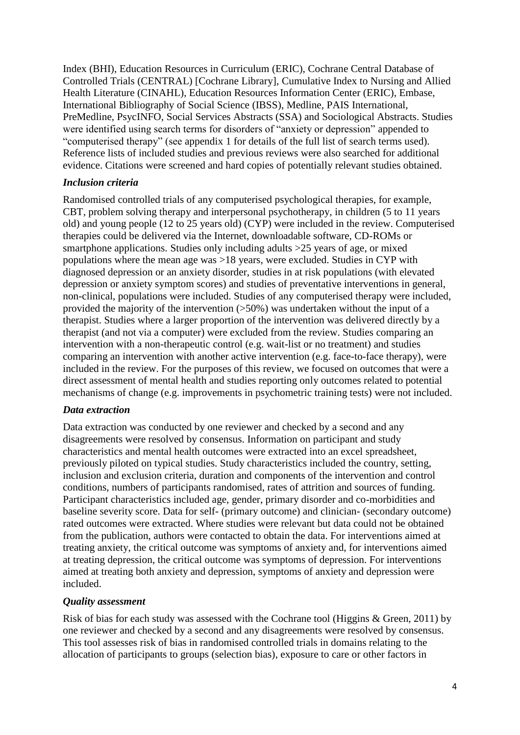Index (BHI), Education Resources in Curriculum (ERIC), Cochrane Central Database of Controlled Trials (CENTRAL) [Cochrane Library], Cumulative Index to Nursing and Allied Health Literature (CINAHL), Education Resources Information Center (ERIC), Embase, International Bibliography of Social Science (IBSS), Medline, PAIS International, PreMedline, PsycINFO, Social Services Abstracts (SSA) and Sociological Abstracts. Studies were identified using search terms for disorders of "anxiety or depression" appended to "computerised therapy" (see appendix 1 for details of the full list of search terms used). Reference lists of included studies and previous reviews were also searched for additional evidence. Citations were screened and hard copies of potentially relevant studies obtained.

#### *Inclusion criteria*

Randomised controlled trials of any computerised psychological therapies, for example, CBT, problem solving therapy and interpersonal psychotherapy, in children (5 to 11 years old) and young people (12 to 25 years old) (CYP) were included in the review. Computerised therapies could be delivered via the Internet, downloadable software, CD-ROMs or smartphone applications. Studies only including adults >25 years of age, or mixed populations where the mean age was >18 years, were excluded. Studies in CYP with diagnosed depression or an anxiety disorder, studies in at risk populations (with elevated depression or anxiety symptom scores) and studies of preventative interventions in general, non-clinical, populations were included. Studies of any computerised therapy were included, provided the majority of the intervention (>50%) was undertaken without the input of a therapist. Studies where a larger proportion of the intervention was delivered directly by a therapist (and not via a computer) were excluded from the review. Studies comparing an intervention with a non-therapeutic control (e.g. wait-list or no treatment) and studies comparing an intervention with another active intervention (e.g. face-to-face therapy), were included in the review. For the purposes of this review, we focused on outcomes that were a direct assessment of mental health and studies reporting only outcomes related to potential mechanisms of change (e.g. improvements in psychometric training tests) were not included.

## *Data extraction*

Data extraction was conducted by one reviewer and checked by a second and any disagreements were resolved by consensus. Information on participant and study characteristics and mental health outcomes were extracted into an excel spreadsheet, previously piloted on typical studies. Study characteristics included the country, setting, inclusion and exclusion criteria, duration and components of the intervention and control conditions, numbers of participants randomised, rates of attrition and sources of funding. Participant characteristics included age, gender, primary disorder and co-morbidities and baseline severity score. Data for self- (primary outcome) and clinician- (secondary outcome) rated outcomes were extracted. Where studies were relevant but data could not be obtained from the publication, authors were contacted to obtain the data. For interventions aimed at treating anxiety, the critical outcome was symptoms of anxiety and, for interventions aimed at treating depression, the critical outcome was symptoms of depression. For interventions aimed at treating both anxiety and depression, symptoms of anxiety and depression were included.

## *Quality assessment*

Risk of bias for each study was assessed with the Cochrane tool [\(Higgins & Green, 2011\)](#page-13-6) by one reviewer and checked by a second and any disagreements were resolved by consensus. This tool assesses risk of bias in randomised controlled trials in domains relating to the allocation of participants to groups (selection bias), exposure to care or other factors in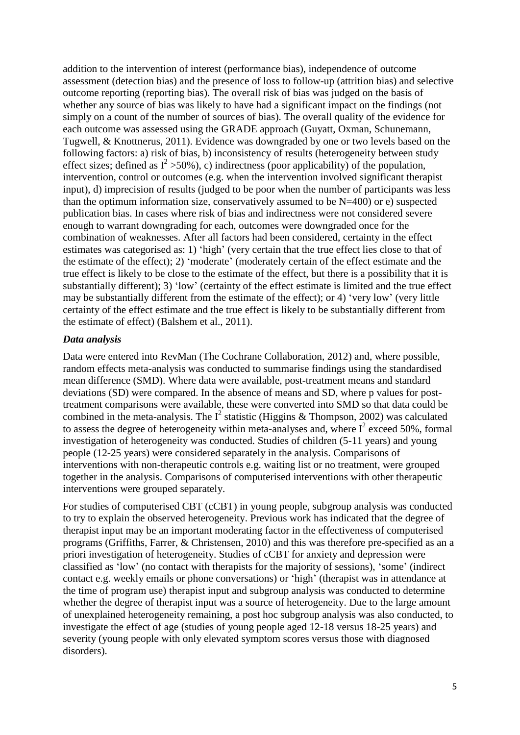addition to the intervention of interest (performance bias), independence of outcome assessment (detection bias) and the presence of loss to follow-up (attrition bias) and selective outcome reporting (reporting bias). The overall risk of bias was judged on the basis of whether any source of bias was likely to have had a significant impact on the findings (not simply on a count of the number of sources of bias). The overall quality of the evidence for each outcome was assessed using the GRADE approach [\(Guyatt, Oxman, Schunemann,](#page-12-5)  [Tugwell, & Knottnerus, 2011\)](#page-12-5). Evidence was downgraded by one or two levels based on the following factors: a) risk of bias, b) inconsistency of results (heterogeneity between study effect sizes; defined as  $I^2 > 50\%$ ), c) indirectness (poor applicability) of the population, intervention, control or outcomes (e.g. when the intervention involved significant therapist input), d) imprecision of results (judged to be poor when the number of participants was less than the optimum information size, conservatively assumed to be N=400) or e) suspected publication bias. In cases where risk of bias and indirectness were not considered severe enough to warrant downgrading for each, outcomes were downgraded once for the combination of weaknesses. After all factors had been considered, certainty in the effect estimates was categorised as: 1) 'high' (very certain that the true effect lies close to that of the estimate of the effect); 2) 'moderate' (moderately certain of the effect estimate and the true effect is likely to be close to the estimate of the effect, but there is a possibility that it is substantially different); 3) 'low' (certainty of the effect estimate is limited and the true effect may be substantially different from the estimate of the effect); or 4) 'very low' (very little certainty of the effect estimate and the true effect is likely to be substantially different from the estimate of effect) [\(Balshem et al., 2011\)](#page-11-3).

#### *Data analysis*

Data were entered into RevMan [\(The Cochrane Collaboration, 2012\)](#page-15-3) and, where possible, random effects meta-analysis was conducted to summarise findings using the standardised mean difference (SMD). Where data were available, post-treatment means and standard deviations (SD) were compared. In the absence of means and SD, where p values for posttreatment comparisons were available, these were converted into SMD so that data could be combined in the meta-analysis. The  $I^2$  statistic [\(Higgins & Thompson, 2002\)](#page-13-7) was calculated to assess the degree of heterogeneity within meta-analyses and, where  $I^2$  exceed 50%, formal investigation of heterogeneity was conducted. Studies of children (5-11 years) and young people (12-25 years) were considered separately in the analysis. Comparisons of interventions with non-therapeutic controls e.g. waiting list or no treatment, were grouped together in the analysis. Comparisons of computerised interventions with other therapeutic interventions were grouped separately.

For studies of computerised CBT (cCBT) in young people, subgroup analysis was conducted to try to explain the observed heterogeneity. Previous work has indicated that the degree of therapist input may be an important moderating factor in the effectiveness of computerised programs [\(Griffiths, Farrer, & Christensen, 2010\)](#page-12-6) and this was therefore pre-specified as an a priori investigation of heterogeneity. Studies of cCBT for anxiety and depression were classified as 'low' (no contact with therapists for the majority of sessions), 'some' (indirect contact e.g. weekly emails or phone conversations) or 'high' (therapist was in attendance at the time of program use) therapist input and subgroup analysis was conducted to determine whether the degree of therapist input was a source of heterogeneity. Due to the large amount of unexplained heterogeneity remaining, a post hoc subgroup analysis was also conducted, to investigate the effect of age (studies of young people aged 12-18 versus 18-25 years) and severity (young people with only elevated symptom scores versus those with diagnosed disorders).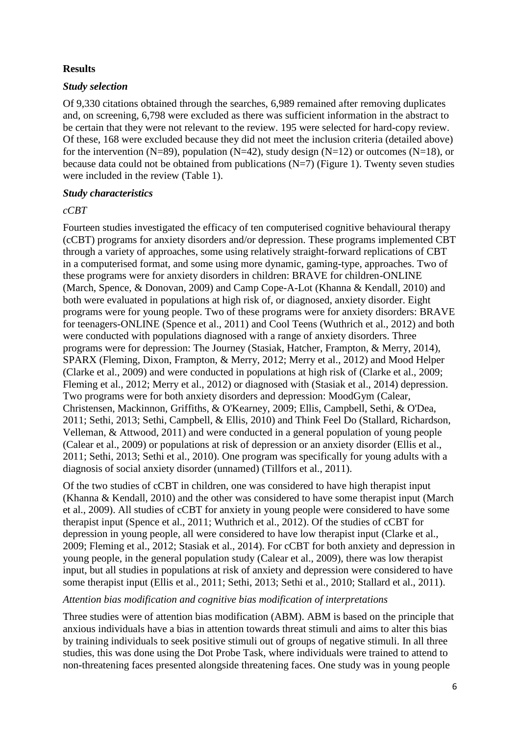## **Results**

## *Study selection*

Of 9,330 citations obtained through the searches, 6,989 remained after removing duplicates and, on screening, 6,798 were excluded as there was sufficient information in the abstract to be certain that they were not relevant to the review. 195 were selected for hard-copy review. Of these, 168 were excluded because they did not meet the inclusion criteria (detailed above) for the intervention (N=89), population (N=42), study design (N=12) or outcomes (N=18), or because data could not be obtained from publications  $(N=7)$  (Figure 1). Twenty seven studies were included in the review (Table 1).

## *Study characteristics*

## *cCBT*

Fourteen studies investigated the efficacy of ten computerised cognitive behavioural therapy (cCBT) programs for anxiety disorders and/or depression. These programs implemented CBT through a variety of approaches, some using relatively straight-forward replications of CBT in a computerised format, and some using more dynamic, gaming-type, approaches. Two of these programs were for anxiety disorders in children: BRAVE for children-ONLINE [\(March, Spence, & Donovan, 2009\)](#page-13-8) and Camp Cope-A-Lot [\(Khanna & Kendall, 2010\)](#page-13-9) and both were evaluated in populations at high risk of, or diagnosed, anxiety disorder. Eight programs were for young people. Two of these programs were for anxiety disorders: BRAVE for teenagers-ONLINE [\(Spence et al., 2011\)](#page-15-4) and Cool Teens [\(Wuthrich et al., 2012\)](#page-16-1) and both were conducted with populations diagnosed with a range of anxiety disorders. Three programs were for depression: The Journey [\(Stasiak, Hatcher, Frampton, & Merry, 2014\)](#page-15-5), SPARX [\(Fleming, Dixon, Frampton, & Merry, 2012;](#page-12-7) [Merry et al., 2012\)](#page-14-7) and Mood Helper [\(Clarke et al., 2009\)](#page-12-8) and were conducted in populations at high risk of [\(Clarke et al., 2009;](#page-12-8) [Fleming et al., 2012;](#page-12-7) [Merry et al., 2012\)](#page-14-7) or diagnosed with [\(Stasiak et al., 2014\)](#page-15-5) depression. Two programs were for both anxiety disorders and depression: MoodGym [\(Calear,](#page-12-9)  [Christensen, Mackinnon, Griffiths, & O'Kearney, 2009;](#page-12-9) [Ellis, Campbell, Sethi, & O'Dea,](#page-12-10)  [2011;](#page-12-10) [Sethi, 2013;](#page-14-8) [Sethi, Campbell, & Ellis, 2010\)](#page-14-9) and Think Feel Do [\(Stallard, Richardson,](#page-15-6)  [Velleman, & Attwood, 2011\)](#page-15-6) and were conducted in a general population of young people [\(Calear et al., 2009\)](#page-12-9) or populations at risk of depression or an anxiety disorder [\(Ellis et al.,](#page-12-10)  [2011;](#page-12-10) [Sethi, 2013;](#page-14-8) [Sethi et al., 2010\)](#page-14-9). One program was specifically for young adults with a diagnosis of social anxiety disorder (unnamed) [\(Tillfors et al., 2011\)](#page-15-7).

Of the two studies of cCBT in children, one was considered to have high therapist input [\(Khanna & Kendall, 2010\)](#page-13-9) and the other was considered to have some therapist input [\(March](#page-13-8)  [et al., 2009\)](#page-13-8). All studies of cCBT for anxiety in young people were considered to have some therapist input [\(Spence et al., 2011;](#page-15-4) [Wuthrich et al., 2012\)](#page-16-1). Of the studies of cCBT for depression in young people, all were considered to have low therapist input [\(Clarke et al.,](#page-12-8)  [2009;](#page-12-8) [Fleming et al., 2012;](#page-12-7) [Stasiak et al., 2014\)](#page-15-5). For cCBT for both anxiety and depression in young people, in the general population study [\(Calear et al., 2009\)](#page-12-9), there was low therapist input, but all studies in populations at risk of anxiety and depression were considered to have some therapist input [\(Ellis et al., 2011;](#page-12-10) [Sethi, 2013;](#page-14-8) [Sethi et al., 2010;](#page-14-9) [Stallard et al., 2011\)](#page-15-6).

## *Attention bias modification and cognitive bias modification of interpretations*

Three studies were of attention bias modification (ABM). ABM is based on the principle that anxious individuals have a bias in attention towards threat stimuli and aims to alter this bias by training individuals to seek positive stimuli out of groups of negative stimuli. In all three studies, this was done using the Dot Probe Task, where individuals were trained to attend to non-threatening faces presented alongside threatening faces. One study was in young people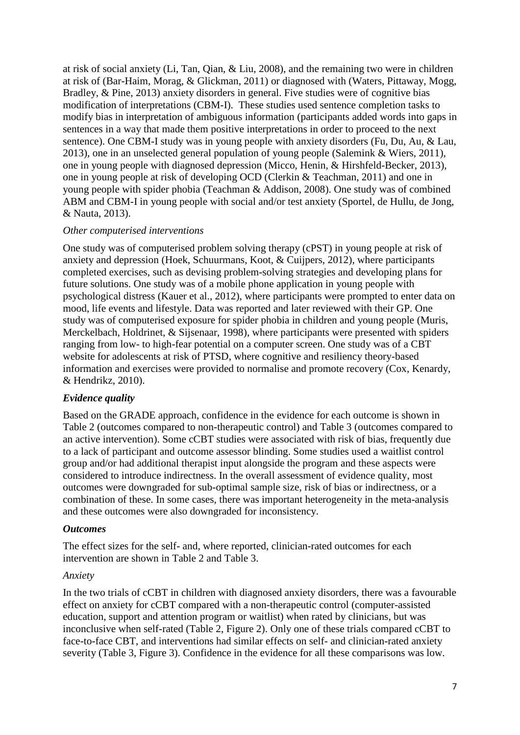at risk of social anxiety [\(Li, Tan, Qian, & Liu, 2008\)](#page-13-10), and the remaining two were in children at risk of [\(Bar-Haim, Morag, & Glickman, 2011\)](#page-11-4) or diagnosed with [\(Waters, Pittaway, Mogg,](#page-15-8)  [Bradley, & Pine, 2013\)](#page-15-8) anxiety disorders in general. Five studies were of cognitive bias modification of interpretations (CBM-I). These studies used sentence completion tasks to modify bias in interpretation of ambiguous information (participants added words into gaps in sentences in a way that made them positive interpretations in order to proceed to the next sentence). One CBM-I study was in young people with anxiety disorders [\(Fu, Du, Au, & Lau,](#page-12-11)  [2013\)](#page-12-11), one in an unselected general population of young people [\(Salemink & Wiers, 2011\)](#page-14-10), one in young people with diagnosed depression [\(Micco, Henin, & Hirshfeld-Becker, 2013\)](#page-14-11), one in young people at risk of developing OCD [\(Clerkin & Teachman, 2011\)](#page-12-12) and one in young people with spider phobia [\(Teachman & Addison, 2008\)](#page-15-9). One study was of combined ABM and CBM-I in young people with social and/or test anxiety [\(Sportel, de Hullu, de Jong,](#page-15-10)  [& Nauta, 2013\)](#page-15-10).

#### *Other computerised interventions*

One study was of computerised problem solving therapy (cPST) in young people at risk of anxiety and depression [\(Hoek, Schuurmans, Koot, & Cuijpers, 2012\)](#page-13-11), where participants completed exercises, such as devising problem-solving strategies and developing plans for future solutions. One study was of a mobile phone application in young people with psychological distress [\(Kauer et al., 2012\)](#page-13-12), where participants were prompted to enter data on mood, life events and lifestyle. Data was reported and later reviewed with their GP. One study was of computerised exposure for spider phobia in children and young people [\(Muris,](#page-14-12)  [Merckelbach, Holdrinet, & Sijsenaar, 1998\)](#page-14-12), where participants were presented with spiders ranging from low- to high-fear potential on a computer screen. One study was of a CBT website for adolescents at risk of PTSD, where cognitive and resiliency theory-based information and exercises were provided to normalise and promote recovery [\(Cox, Kenardy,](#page-12-13)  [& Hendrikz, 2010\)](#page-12-13).

## *Evidence quality*

Based on the GRADE approach, confidence in the evidence for each outcome is shown in Table 2 (outcomes compared to non-therapeutic control) and Table 3 (outcomes compared to an active intervention). Some cCBT studies were associated with risk of bias, frequently due to a lack of participant and outcome assessor blinding. Some studies used a waitlist control group and/or had additional therapist input alongside the program and these aspects were considered to introduce indirectness. In the overall assessment of evidence quality, most outcomes were downgraded for sub-optimal sample size, risk of bias or indirectness, or a combination of these. In some cases, there was important heterogeneity in the meta-analysis and these outcomes were also downgraded for inconsistency.

## *Outcomes*

The effect sizes for the self- and, where reported, clinician-rated outcomes for each intervention are shown in Table 2 and Table 3.

#### *Anxiety*

In the two trials of cCBT in children with diagnosed anxiety disorders, there was a favourable effect on anxiety for cCBT compared with a non-therapeutic control (computer-assisted education, support and attention program or waitlist) when rated by clinicians, but was inconclusive when self-rated (Table 2, Figure 2). Only one of these trials compared cCBT to face-to-face CBT, and interventions had similar effects on self- and clinician-rated anxiety severity (Table 3, Figure 3). Confidence in the evidence for all these comparisons was low.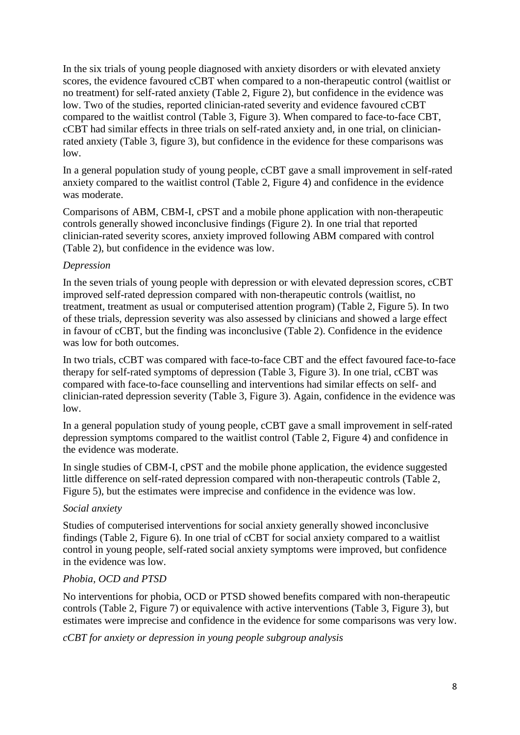In the six trials of young people diagnosed with anxiety disorders or with elevated anxiety scores, the evidence favoured cCBT when compared to a non-therapeutic control (waitlist or no treatment) for self-rated anxiety (Table 2, Figure 2), but confidence in the evidence was low. Two of the studies, reported clinician-rated severity and evidence favoured cCBT compared to the waitlist control (Table 3, Figure 3). When compared to face-to-face CBT, cCBT had similar effects in three trials on self-rated anxiety and, in one trial, on clinicianrated anxiety (Table 3, figure 3), but confidence in the evidence for these comparisons was low.

In a general population study of young people, cCBT gave a small improvement in self-rated anxiety compared to the waitlist control (Table 2, Figure 4) and confidence in the evidence was moderate.

Comparisons of ABM, CBM-I, cPST and a mobile phone application with non-therapeutic controls generally showed inconclusive findings (Figure 2). In one trial that reported clinician-rated severity scores, anxiety improved following ABM compared with control (Table 2), but confidence in the evidence was low.

## *Depression*

In the seven trials of young people with depression or with elevated depression scores, cCBT improved self-rated depression compared with non-therapeutic controls (waitlist, no treatment, treatment as usual or computerised attention program) (Table 2, Figure 5). In two of these trials, depression severity was also assessed by clinicians and showed a large effect in favour of cCBT, but the finding was inconclusive (Table 2). Confidence in the evidence was low for both outcomes.

In two trials, cCBT was compared with face-to-face CBT and the effect favoured face-to-face therapy for self-rated symptoms of depression (Table 3, Figure 3). In one trial, cCBT was compared with face-to-face counselling and interventions had similar effects on self- and clinician-rated depression severity (Table 3, Figure 3). Again, confidence in the evidence was low.

In a general population study of young people, cCBT gave a small improvement in self-rated depression symptoms compared to the waitlist control (Table 2, Figure 4) and confidence in the evidence was moderate.

In single studies of CBM-I, cPST and the mobile phone application, the evidence suggested little difference on self-rated depression compared with non-therapeutic controls (Table 2, Figure 5), but the estimates were imprecise and confidence in the evidence was low.

## *Social anxiety*

Studies of computerised interventions for social anxiety generally showed inconclusive findings (Table 2, Figure 6). In one trial of cCBT for social anxiety compared to a waitlist control in young people, self-rated social anxiety symptoms were improved, but confidence in the evidence was low.

## *Phobia, OCD and PTSD*

No interventions for phobia, OCD or PTSD showed benefits compared with non-therapeutic controls (Table 2, Figure 7) or equivalence with active interventions (Table 3, Figure 3), but estimates were imprecise and confidence in the evidence for some comparisons was very low.

*cCBT for anxiety or depression in young people subgroup analysis*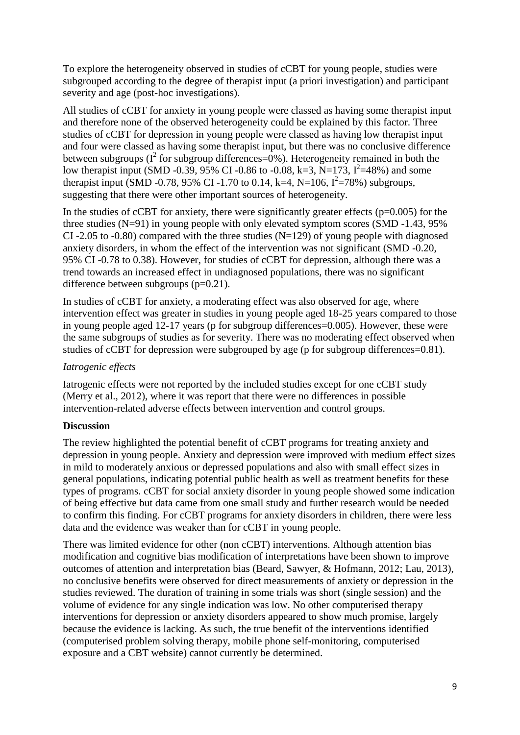To explore the heterogeneity observed in studies of cCBT for young people, studies were subgrouped according to the degree of therapist input (a priori investigation) and participant severity and age (post-hoc investigations).

All studies of cCBT for anxiety in young people were classed as having some therapist input and therefore none of the observed heterogeneity could be explained by this factor. Three studies of cCBT for depression in young people were classed as having low therapist input and four were classed as having some therapist input, but there was no conclusive difference between subgroups ( $I^2$  for subgroup differences=0%). Heterogeneity remained in both the low therapist input (SMD -0.39, 95% CI -0.86 to -0.08, k=3, N=173,  $I^2$ =48%) and some therapist input (SMD -0.78, 95% CI -1.70 to 0.14, k=4, N=106,  $I^2$ =78%) subgroups, suggesting that there were other important sources of heterogeneity.

In the studies of cCBT for anxiety, there were significantly greater effects  $(p=0.005)$  for the three studies (N=91) in young people with only elevated symptom scores (SMD -1.43, 95% CI -2.05 to -0.80) compared with the three studies  $(N=129)$  of young people with diagnosed anxiety disorders, in whom the effect of the intervention was not significant (SMD -0.20, 95% CI -0.78 to 0.38). However, for studies of cCBT for depression, although there was a trend towards an increased effect in undiagnosed populations, there was no significant difference between subgroups  $(p=0.21)$ .

In studies of cCBT for anxiety, a moderating effect was also observed for age, where intervention effect was greater in studies in young people aged 18-25 years compared to those in young people aged 12-17 years (p for subgroup differences=0.005). However, these were the same subgroups of studies as for severity. There was no moderating effect observed when studies of cCBT for depression were subgrouped by age (p for subgroup differences=0.81).

## *Iatrogenic effects*

Iatrogenic effects were not reported by the included studies except for one cCBT study [\(Merry et al., 2012\)](#page-14-7), where it was report that there were no differences in possible intervention-related adverse effects between intervention and control groups.

## **Discussion**

The review highlighted the potential benefit of cCBT programs for treating anxiety and depression in young people. Anxiety and depression were improved with medium effect sizes in mild to moderately anxious or depressed populations and also with small effect sizes in general populations, indicating potential public health as well as treatment benefits for these types of programs. cCBT for social anxiety disorder in young people showed some indication of being effective but data came from one small study and further research would be needed to confirm this finding. For cCBT programs for anxiety disorders in children, there were less data and the evidence was weaker than for cCBT in young people.

There was limited evidence for other (non cCBT) interventions. Although attention bias modification and cognitive bias modification of interpretations have been shown to improve outcomes of attention and interpretation bias [\(Beard, Sawyer, & Hofmann, 2012;](#page-11-5) [Lau, 2013\)](#page-13-13), no conclusive benefits were observed for direct measurements of anxiety or depression in the studies reviewed. The duration of training in some trials was short (single session) and the volume of evidence for any single indication was low. No other computerised therapy interventions for depression or anxiety disorders appeared to show much promise, largely because the evidence is lacking. As such, the true benefit of the interventions identified (computerised problem solving therapy, mobile phone self-monitoring, computerised exposure and a CBT website) cannot currently be determined.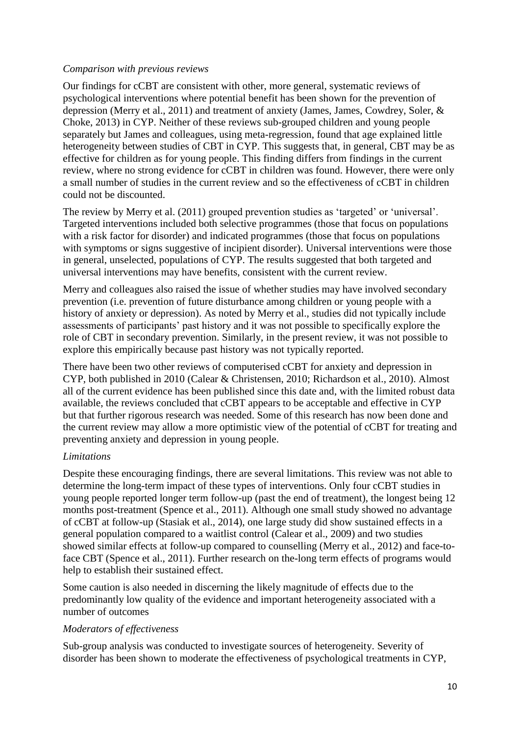#### *Comparison with previous reviews*

Our findings for cCBT are consistent with other, more general, systematic reviews of psychological interventions where potential benefit has been shown for the prevention of depression [\(Merry et al., 2011\)](#page-14-13) and treatment of anxiety [\(James, James, Cowdrey, Soler, &](#page-13-14)  [Choke, 2013\)](#page-13-14) in CYP. Neither of these reviews sub-grouped children and young people separately but James and colleagues, using meta-regression, found that age explained little heterogeneity between studies of CBT in CYP. This suggests that, in general, CBT may be as effective for children as for young people. This finding differs from findings in the current review, where no strong evidence for cCBT in children was found. However, there were only a small number of studies in the current review and so the effectiveness of cCBT in children could not be discounted.

The review by Merry et al. (2011) grouped prevention studies as 'targeted' or 'universal'. Targeted interventions included both selective programmes (those that focus on populations with a risk factor for disorder) and indicated programmes (those that focus on populations with symptoms or signs suggestive of incipient disorder). Universal interventions were those in general, unselected, populations of CYP. The results suggested that both targeted and universal interventions may have benefits, consistent with the current review.

Merry and colleagues also raised the issue of whether studies may have involved secondary prevention (i.e. prevention of future disturbance among children or young people with a history of anxiety or depression). As noted by Merry et al., studies did not typically include assessments of participants' past history and it was not possible to specifically explore the role of CBT in secondary prevention. Similarly, in the present review, it was not possible to explore this empirically because past history was not typically reported.

There have been two other reviews of computerised cCBT for anxiety and depression in CYP, both published in 2010 [\(Calear & Christensen, 2010;](#page-11-2) [Richardson et al., 2010\)](#page-14-6). Almost all of the current evidence has been published since this date and, with the limited robust data available, the reviews concluded that cCBT appears to be acceptable and effective in CYP but that further rigorous research was needed. Some of this research has now been done and the current review may allow a more optimistic view of the potential of cCBT for treating and preventing anxiety and depression in young people.

#### *Limitations*

Despite these encouraging findings, there are several limitations. This review was not able to determine the long-term impact of these types of interventions. Only four cCBT studies in young people reported longer term follow-up (past the end of treatment), the longest being 12 months post-treatment [\(Spence et al., 2011\)](#page-15-4). Although one small study showed no advantage of cCBT at follow-up [\(Stasiak et al., 2014\)](#page-15-5), one large study did show sustained effects in a general population compared to a waitlist control [\(Calear et al., 2009\)](#page-12-9) and two studies showed similar effects at follow-up compared to counselling [\(Merry et al., 2012\)](#page-14-7) and face-toface CBT [\(Spence et al., 2011\)](#page-15-4). Further research on the-long term effects of programs would help to establish their sustained effect.

Some caution is also needed in discerning the likely magnitude of effects due to the predominantly low quality of the evidence and important heterogeneity associated with a number of outcomes

#### *Moderators of effectiveness*

Sub-group analysis was conducted to investigate sources of heterogeneity. Severity of disorder has been shown to moderate the effectiveness of psychological treatments in CYP,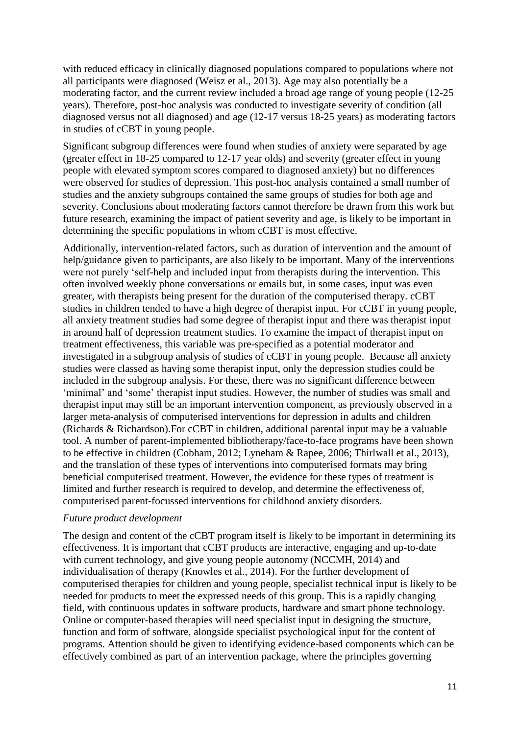with reduced efficacy in clinically diagnosed populations compared to populations where not all participants were diagnosed (Weisz [et al., 2013\)](#page-16-2). Age may also potentially be a moderating factor, and the current review included a broad age range of young people (12-25 years). Therefore, post-hoc analysis was conducted to investigate severity of condition (all diagnosed versus not all diagnosed) and age (12-17 versus 18-25 years) as moderating factors in studies of cCBT in young people.

Significant subgroup differences were found when studies of anxiety were separated by age (greater effect in 18-25 compared to 12-17 year olds) and severity (greater effect in young people with elevated symptom scores compared to diagnosed anxiety) but no differences were observed for studies of depression. This post-hoc analysis contained a small number of studies and the anxiety subgroups contained the same groups of studies for both age and severity. Conclusions about moderating factors cannot therefore be drawn from this work but future research, examining the impact of patient severity and age, is likely to be important in determining the specific populations in whom cCBT is most effective.

Additionally, intervention-related factors, such as duration of intervention and the amount of help/guidance given to participants, are also likely to be important. Many of the interventions were not purely 'self-help and included input from therapists during the intervention. This often involved weekly phone conversations or emails but, in some cases, input was even greater, with therapists being present for the duration of the computerised therapy. cCBT studies in children tended to have a high degree of therapist input. For cCBT in young people, all anxiety treatment studies had some degree of therapist input and there was therapist input in around half of depression treatment studies. To examine the impact of therapist input on treatment effectiveness, this variable was pre-specified as a potential moderator and investigated in a subgroup analysis of studies of cCBT in young people. Because all anxiety studies were classed as having some therapist input, only the depression studies could be included in the subgroup analysis. For these, there was no significant difference between 'minimal' and 'some' therapist input studies. However, the number of studies was small and therapist input may still be an important intervention component, as previously observed in a larger meta-analysis of computerised interventions for depression in adults and children [\(Richards & Richardson\)](#page-14-14).For cCBT in children, additional parental input may be a valuable tool. A number of parent-implemented bibliotherapy/face-to-face programs have been shown to be effective in children [\(Cobham, 2012;](#page-12-14) [Lyneham & Rapee, 2006;](#page-13-15) [Thirlwall et al., 2013\)](#page-15-11), and the translation of these types of interventions into computerised formats may bring beneficial computerised treatment. However, the evidence for these types of treatment is limited and further research is required to develop, and determine the effectiveness of, computerised parent-focussed interventions for childhood anxiety disorders.

#### *Future product development*

The design and content of the cCBT program itself is likely to be important in determining its effectiveness. It is important that cCBT products are interactive, engaging and up-to-date with current technology, and give young people autonomy [\(NCCMH, 2014\)](#page-14-15) and individualisation of therapy [\(Knowles et al., 2014\)](#page-13-16). For the further development of computerised therapies for children and young people, specialist technical input is likely to be needed for products to meet the expressed needs of this group. This is a rapidly changing field, with continuous updates in software products, hardware and smart phone technology. Online or computer-based therapies will need specialist input in designing the structure, function and form of software, alongside specialist psychological input for the content of programs. Attention should be given to identifying evidence-based components which can be effectively combined as part of an intervention package, where the principles governing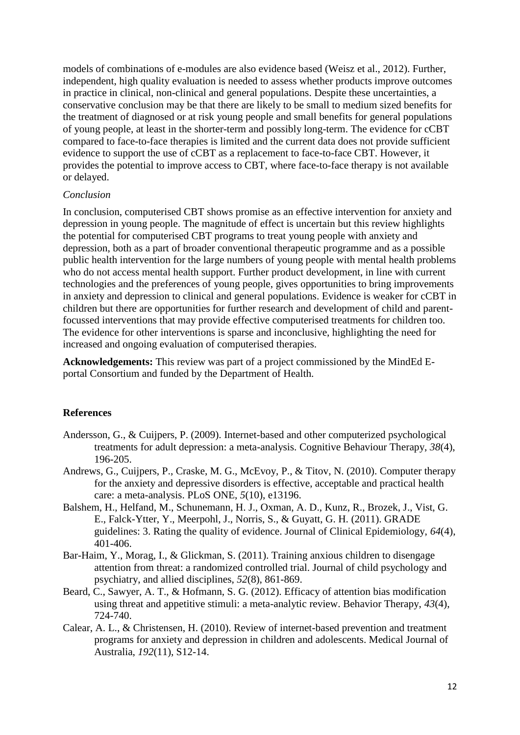models of combinations of e-modules are also evidence based [\(Weisz et al., 2012\)](#page-15-12). Further, independent, high quality evaluation is needed to assess whether products improve outcomes in practice in clinical, non-clinical and general populations. Despite these uncertainties, a conservative conclusion may be that there are likely to be small to medium sized benefits for the treatment of diagnosed or at risk young people and small benefits for general populations of young people, at least in the shorter-term and possibly long-term. The evidence for cCBT compared to face-to-face therapies is limited and the current data does not provide sufficient evidence to support the use of cCBT as a replacement to face-to-face CBT. However, it provides the potential to improve access to CBT, where face-to-face therapy is not available or delayed.

#### *Conclusion*

In conclusion, computerised CBT shows promise as an effective intervention for anxiety and depression in young people. The magnitude of effect is uncertain but this review highlights the potential for computerised CBT programs to treat young people with anxiety and depression, both as a part of broader conventional therapeutic programme and as a possible public health intervention for the large numbers of young people with mental health problems who do not access mental health support. Further product development, in line with current technologies and the preferences of young people, gives opportunities to bring improvements in anxiety and depression to clinical and general populations. Evidence is weaker for cCBT in children but there are opportunities for further research and development of child and parentfocussed interventions that may provide effective computerised treatments for children too. The evidence for other interventions is sparse and inconclusive, highlighting the need for increased and ongoing evaluation of computerised therapies.

**Acknowledgements:** This review was part of a project commissioned by the MindEd Eportal Consortium and funded by the Department of Health.

## **References**

- <span id="page-11-0"></span>Andersson, G., & Cuijpers, P. (2009). Internet-based and other computerized psychological treatments for adult depression: a meta-analysis. Cognitive Behaviour Therapy, *38*(4), 196-205.
- <span id="page-11-1"></span>Andrews, G., Cuijpers, P., Craske, M. G., McEvoy, P., & Titov, N. (2010). Computer therapy for the anxiety and depressive disorders is effective, acceptable and practical health care: a meta-analysis. PLoS ONE, *5*(10), e13196.
- <span id="page-11-3"></span>Balshem, H., Helfand, M., Schunemann, H. J., Oxman, A. D., Kunz, R., Brozek, J., Vist, G. E., Falck-Ytter, Y., Meerpohl, J., Norris, S., & Guyatt, G. H. (2011). GRADE guidelines: 3. Rating the quality of evidence. Journal of Clinical Epidemiology, *64*(4), 401-406.
- <span id="page-11-4"></span>Bar-Haim, Y., Morag, I., & Glickman, S. (2011). Training anxious children to disengage attention from threat: a randomized controlled trial. Journal of child psychology and psychiatry, and allied disciplines, *52*(8), 861-869.
- <span id="page-11-5"></span>Beard, C., Sawyer, A. T., & Hofmann, S. G. (2012). Efficacy of attention bias modification using threat and appetitive stimuli: a meta-analytic review. Behavior Therapy, *43*(4), 724-740.
- <span id="page-11-2"></span>Calear, A. L., & Christensen, H. (2010). Review of internet-based prevention and treatment programs for anxiety and depression in children and adolescents. Medical Journal of Australia, *192*(11), S12-14.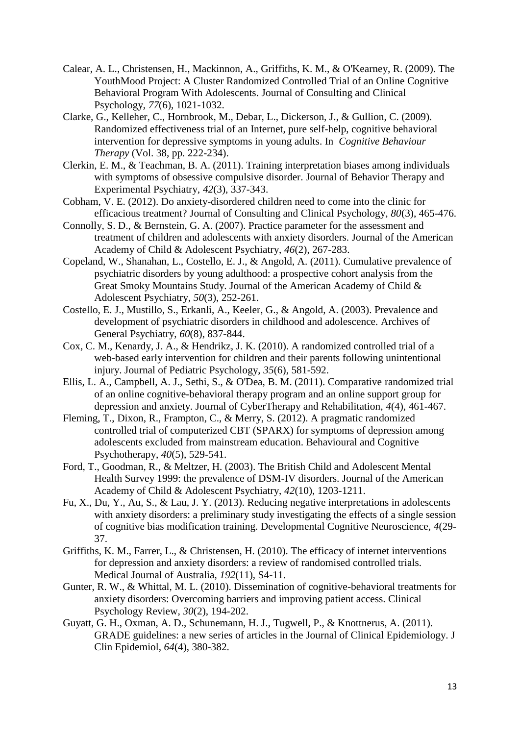- <span id="page-12-9"></span>Calear, A. L., Christensen, H., Mackinnon, A., Griffiths, K. M., & O'Kearney, R. (2009). The YouthMood Project: A Cluster Randomized Controlled Trial of an Online Cognitive Behavioral Program With Adolescents. Journal of Consulting and Clinical Psychology, *77*(6), 1021-1032.
- <span id="page-12-8"></span>Clarke, G., Kelleher, C., Hornbrook, M., Debar, L., Dickerson, J., & Gullion, C. (2009). Randomized effectiveness trial of an Internet, pure self-help, cognitive behavioral intervention for depressive symptoms in young adults. In *Cognitive Behaviour Therapy* (Vol. 38, pp. 222-234).
- <span id="page-12-12"></span>Clerkin, E. M., & Teachman, B. A. (2011). Training interpretation biases among individuals with symptoms of obsessive compulsive disorder. Journal of Behavior Therapy and Experimental Psychiatry, *42*(3), 337-343.
- <span id="page-12-14"></span>Cobham, V. E. (2012). Do anxiety-disordered children need to come into the clinic for efficacious treatment? Journal of Consulting and Clinical Psychology, *80*(3), 465-476.
- <span id="page-12-3"></span>Connolly, S. D., & Bernstein, G. A. (2007). Practice parameter for the assessment and treatment of children and adolescents with anxiety disorders. Journal of the American Academy of Child & Adolescent Psychiatry, *46*(2), 267-283.
- <span id="page-12-0"></span>Copeland, W., Shanahan, L., Costello, E. J., & Angold, A. (2011). Cumulative prevalence of psychiatric disorders by young adulthood: a prospective cohort analysis from the Great Smoky Mountains Study. Journal of the American Academy of Child & Adolescent Psychiatry, *50*(3), 252-261.
- <span id="page-12-1"></span>Costello, E. J., Mustillo, S., Erkanli, A., Keeler, G., & Angold, A. (2003). Prevalence and development of psychiatric disorders in childhood and adolescence. Archives of General Psychiatry, *60*(8), 837-844.
- <span id="page-12-13"></span>Cox, C. M., Kenardy, J. A., & Hendrikz, J. K. (2010). A randomized controlled trial of a web-based early intervention for children and their parents following unintentional injury. Journal of Pediatric Psychology, *35*(6), 581-592.
- <span id="page-12-10"></span>Ellis, L. A., Campbell, A. J., Sethi, S., & O'Dea, B. M. (2011). Comparative randomized trial of an online cognitive-behavioral therapy program and an online support group for depression and anxiety. Journal of CyberTherapy and Rehabilitation, *4*(4), 461-467.
- <span id="page-12-7"></span>Fleming, T., Dixon, R., Frampton, C., & Merry, S. (2012). A pragmatic randomized controlled trial of computerized CBT (SPARX) for symptoms of depression among adolescents excluded from mainstream education. Behavioural and Cognitive Psychotherapy, *40*(5), 529-541.
- <span id="page-12-2"></span>Ford, T., Goodman, R., & Meltzer, H. (2003). The British Child and Adolescent Mental Health Survey 1999: the prevalence of DSM-IV disorders. Journal of the American Academy of Child & Adolescent Psychiatry, *42*(10), 1203-1211.
- <span id="page-12-11"></span>Fu, X., Du, Y., Au, S., & Lau, J. Y. (2013). Reducing negative interpretations in adolescents with anxiety disorders: a preliminary study investigating the effects of a single session of cognitive bias modification training. Developmental Cognitive Neuroscience, *4*(29- 37.
- <span id="page-12-6"></span>Griffiths, K. M., Farrer, L., & Christensen, H. (2010). The efficacy of internet interventions for depression and anxiety disorders: a review of randomised controlled trials. Medical Journal of Australia, *192*(11), S4-11.
- <span id="page-12-4"></span>Gunter, R. W., & Whittal, M. L. (2010). Dissemination of cognitive-behavioral treatments for anxiety disorders: Overcoming barriers and improving patient access. Clinical Psychology Review, *30*(2), 194-202.
- <span id="page-12-5"></span>Guyatt, G. H., Oxman, A. D., Schunemann, H. J., Tugwell, P., & Knottnerus, A. (2011). GRADE guidelines: a new series of articles in the Journal of Clinical Epidemiology. J Clin Epidemiol, *64*(4), 380-382.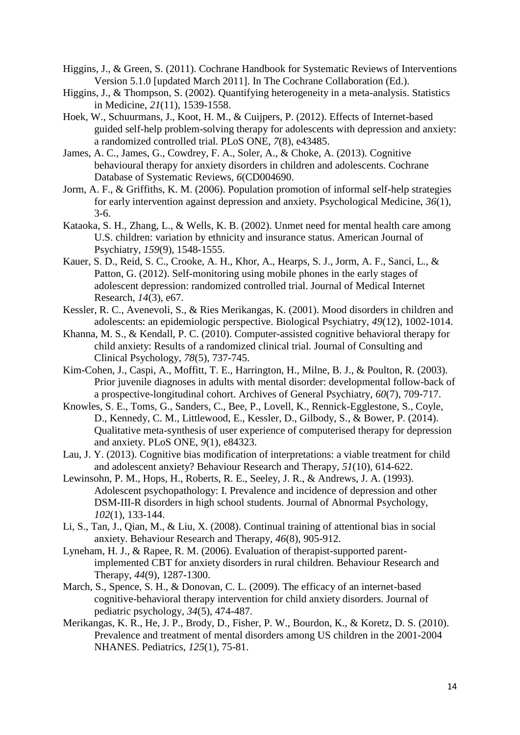- <span id="page-13-6"></span>Higgins, J., & Green, S. (2011). Cochrane Handbook for Systematic Reviews of Interventions Version 5.1.0 [updated March 2011]. In The Cochrane Collaboration (Ed.).
- <span id="page-13-7"></span>Higgins, J., & Thompson, S. (2002). Quantifying heterogeneity in a meta-analysis. Statistics in Medicine, *21*(11), 1539-1558.
- <span id="page-13-11"></span>Hoek, W., Schuurmans, J., Koot, H. M., & Cuijpers, P. (2012). Effects of Internet-based guided self-help problem-solving therapy for adolescents with depression and anxiety: a randomized controlled trial. PLoS ONE, *7*(8), e43485.
- <span id="page-13-14"></span>James, A. C., James, G., Cowdrey, F. A., Soler, A., & Choke, A. (2013). Cognitive behavioural therapy for anxiety disorders in children and adolescents. Cochrane Database of Systematic Reviews, *6*(CD004690.
- <span id="page-13-5"></span>Jorm, A. F., & Griffiths, K. M. (2006). Population promotion of informal self-help strategies for early intervention against depression and anxiety. Psychological Medicine, *36*(1), 3-6.
- <span id="page-13-3"></span>Kataoka, S. H., Zhang, L., & Wells, K. B. (2002). Unmet need for mental health care among U.S. children: variation by ethnicity and insurance status. American Journal of Psychiatry, *159*(9), 1548-1555.
- <span id="page-13-12"></span>Kauer, S. D., Reid, S. C., Crooke, A. H., Khor, A., Hearps, S. J., Jorm, A. F., Sanci, L., & Patton, G. (2012). Self-monitoring using mobile phones in the early stages of adolescent depression: randomized controlled trial. Journal of Medical Internet Research, *14*(3), e67.
- <span id="page-13-0"></span>Kessler, R. C., Avenevoli, S., & Ries Merikangas, K. (2001). Mood disorders in children and adolescents: an epidemiologic perspective. Biological Psychiatry, *49*(12), 1002-1014.
- <span id="page-13-9"></span>Khanna, M. S., & Kendall, P. C. (2010). Computer-assisted cognitive behavioral therapy for child anxiety: Results of a randomized clinical trial. Journal of Consulting and Clinical Psychology, *78*(5), 737-745.
- <span id="page-13-2"></span>Kim-Cohen, J., Caspi, A., Moffitt, T. E., Harrington, H., Milne, B. J., & Poulton, R. (2003). Prior juvenile diagnoses in adults with mental disorder: developmental follow-back of a prospective-longitudinal cohort. Archives of General Psychiatry, *60*(7), 709-717.
- <span id="page-13-16"></span>Knowles, S. E., Toms, G., Sanders, C., Bee, P., Lovell, K., Rennick-Egglestone, S., Coyle, D., Kennedy, C. M., Littlewood, E., Kessler, D., Gilbody, S., & Bower, P. (2014). Qualitative meta-synthesis of user experience of computerised therapy for depression and anxiety. PLoS ONE, *9*(1), e84323.
- <span id="page-13-13"></span>Lau, J. Y. (2013). Cognitive bias modification of interpretations: a viable treatment for child and adolescent anxiety? Behaviour Research and Therapy, *51*(10), 614-622.
- <span id="page-13-1"></span>Lewinsohn, P. M., Hops, H., Roberts, R. E., Seeley, J. R., & Andrews, J. A. (1993). Adolescent psychopathology: I. Prevalence and incidence of depression and other DSM-III-R disorders in high school students. Journal of Abnormal Psychology, *102*(1), 133-144.
- <span id="page-13-10"></span>Li, S., Tan, J., Qian, M., & Liu, X. (2008). Continual training of attentional bias in social anxiety. Behaviour Research and Therapy, *46*(8), 905-912.
- <span id="page-13-15"></span>Lyneham, H. J., & Rapee, R. M. (2006). Evaluation of therapist-supported parentimplemented CBT for anxiety disorders in rural children. Behaviour Research and Therapy, *44*(9), 1287-1300.
- <span id="page-13-8"></span>March, S., Spence, S. H., & Donovan, C. L. (2009). The efficacy of an internet-based cognitive-behavioral therapy intervention for child anxiety disorders. Journal of pediatric psychology, *34*(5), 474-487.
- <span id="page-13-4"></span>Merikangas, K. R., He, J. P., Brody, D., Fisher, P. W., Bourdon, K., & Koretz, D. S. (2010). Prevalence and treatment of mental disorders among US children in the 2001-2004 NHANES. Pediatrics, *125*(1), 75-81.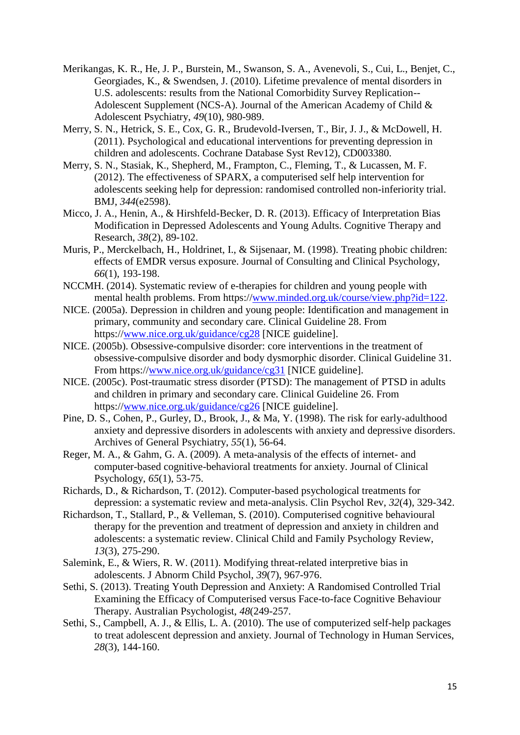- <span id="page-14-0"></span>Merikangas, K. R., He, J. P., Burstein, M., Swanson, S. A., Avenevoli, S., Cui, L., Benjet, C., Georgiades, K., & Swendsen, J. (2010). Lifetime prevalence of mental disorders in U.S. adolescents: results from the National Comorbidity Survey Replication-- Adolescent Supplement (NCS-A). Journal of the American Academy of Child & Adolescent Psychiatry, *49*(10), 980-989.
- <span id="page-14-13"></span>Merry, S. N., Hetrick, S. E., Cox, G. R., Brudevold-Iversen, T., Bir, J. J., & McDowell, H. (2011). Psychological and educational interventions for preventing depression in children and adolescents. Cochrane Database Syst Rev12), CD003380.
- <span id="page-14-7"></span>Merry, S. N., Stasiak, K., Shepherd, M., Frampton, C., Fleming, T., & Lucassen, M. F. (2012). The effectiveness of SPARX, a computerised self help intervention for adolescents seeking help for depression: randomised controlled non-inferiority trial. BMJ, *344*(e2598).
- <span id="page-14-11"></span>Micco, J. A., Henin, A., & Hirshfeld-Becker, D. R. (2013). Efficacy of Interpretation Bias Modification in Depressed Adolescents and Young Adults. Cognitive Therapy and Research, *38*(2), 89-102.
- <span id="page-14-12"></span>Muris, P., Merckelbach, H., Holdrinet, I., & Sijsenaar, M. (1998). Treating phobic children: effects of EMDR versus exposure. Journal of Consulting and Clinical Psychology, *66*(1), 193-198.
- <span id="page-14-15"></span>NCCMH. (2014). Systematic review of e-therapies for children and young people with mental health problems. From https:/[/www.minded.org.uk/course/view.php?id=122.](http://www.minded.org.uk/course/view.php?id=122)
- <span id="page-14-2"></span>NICE. (2005a). Depression in children and young people: Identification and management in primary, community and secondary care. Clinical Guideline 28. From https:/[/www.nice.org.uk/guidance/cg28](http://www.nice.org.uk/guidance/cg28) [NICE guideline].
- <span id="page-14-3"></span>NICE. (2005b). Obsessive-compulsive disorder: core interventions in the treatment of obsessive-compulsive disorder and body dysmorphic disorder. Clinical Guideline 31. From https:/[/www.nice.org.uk/guidance/cg31](http://www.nice.org.uk/guidance/cg31) [NICE guideline].
- <span id="page-14-4"></span>NICE. (2005c). Post-traumatic stress disorder (PTSD): The management of PTSD in adults and children in primary and secondary care. Clinical Guideline 26. From https:/[/www.nice.org.uk/guidance/cg26](http://www.nice.org.uk/guidance/cg26) [NICE guideline].
- <span id="page-14-1"></span>Pine, D. S., Cohen, P., Gurley, D., Brook, J., & Ma, Y. (1998). The risk for early-adulthood anxiety and depressive disorders in adolescents with anxiety and depressive disorders. Archives of General Psychiatry, *55*(1), 56-64.
- <span id="page-14-5"></span>Reger, M. A., & Gahm, G. A. (2009). A meta-analysis of the effects of internet- and computer-based cognitive-behavioral treatments for anxiety. Journal of Clinical Psychology, *65*(1), 53-75.
- <span id="page-14-14"></span>Richards, D., & Richardson, T. (2012). Computer-based psychological treatments for depression: a systematic review and meta-analysis. Clin Psychol Rev, *32*(4), 329-342.
- <span id="page-14-6"></span>Richardson, T., Stallard, P., & Velleman, S. (2010). Computerised cognitive behavioural therapy for the prevention and treatment of depression and anxiety in children and adolescents: a systematic review. Clinical Child and Family Psychology Review, *13*(3), 275-290.
- <span id="page-14-10"></span>Salemink, E., & Wiers, R. W. (2011). Modifying threat-related interpretive bias in adolescents. J Abnorm Child Psychol, *39*(7), 967-976.
- <span id="page-14-8"></span>Sethi, S. (2013). Treating Youth Depression and Anxiety: A Randomised Controlled Trial Examining the Efficacy of Computerised versus Face-to-face Cognitive Behaviour Therapy. Australian Psychologist, *48*(249-257.
- <span id="page-14-9"></span>Sethi, S., Campbell, A. J., & Ellis, L. A. (2010). The use of computerized self-help packages to treat adolescent depression and anxiety. Journal of Technology in Human Services, *28*(3), 144-160.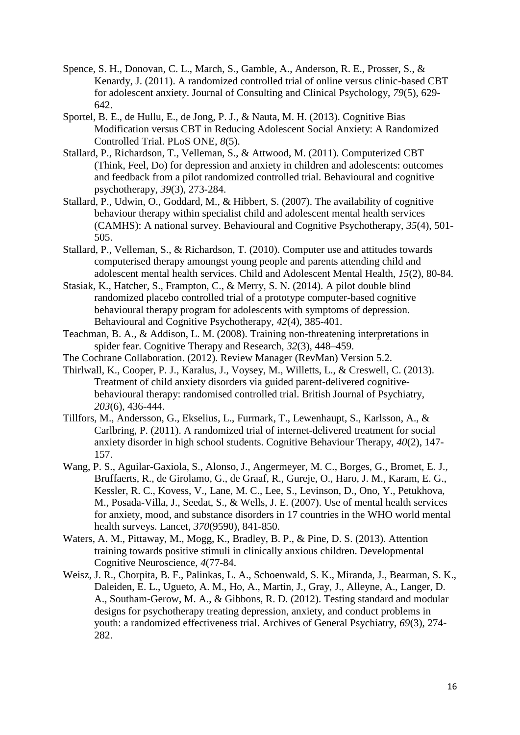- <span id="page-15-4"></span>Spence, S. H., Donovan, C. L., March, S., Gamble, A., Anderson, R. E., Prosser, S., & Kenardy, J. (2011). A randomized controlled trial of online versus clinic-based CBT for adolescent anxiety. Journal of Consulting and Clinical Psychology, *79*(5), 629- 642.
- <span id="page-15-10"></span>Sportel, B. E., de Hullu, E., de Jong, P. J., & Nauta, M. H. (2013). Cognitive Bias Modification versus CBT in Reducing Adolescent Social Anxiety: A Randomized Controlled Trial. PLoS ONE, *8*(5).
- <span id="page-15-6"></span>Stallard, P., Richardson, T., Velleman, S., & Attwood, M. (2011). Computerized CBT (Think, Feel, Do) for depression and anxiety in children and adolescents: outcomes and feedback from a pilot randomized controlled trial. Behavioural and cognitive psychotherapy, *39*(3), 273-284.
- <span id="page-15-0"></span>Stallard, P., Udwin, O., Goddard, M., & Hibbert, S. (2007). The availability of cognitive behaviour therapy within specialist child and adolescent mental health services (CAMHS): A national survey. Behavioural and Cognitive Psychotherapy, *35*(4), 501- 505.
- <span id="page-15-2"></span>Stallard, P., Velleman, S., & Richardson, T. (2010). Computer use and attitudes towards computerised therapy amoungst young people and parents attending child and adolescent mental health services. Child and Adolescent Mental Health, *15*(2), 80-84.
- <span id="page-15-5"></span>Stasiak, K., Hatcher, S., Frampton, C., & Merry, S. N. (2014). A pilot double blind randomized placebo controlled trial of a prototype computer-based cognitive behavioural therapy program for adolescents with symptoms of depression. Behavioural and Cognitive Psychotherapy, *42*(4), 385-401.
- <span id="page-15-9"></span>Teachman, B. A., & Addison, L. M. (2008). Training non-threatening interpretations in spider fear. Cognitive Therapy and Research, *32*(3), 448–459.
- <span id="page-15-3"></span>The Cochrane Collaboration. (2012). Review Manager (RevMan) Version 5.2.
- <span id="page-15-11"></span>Thirlwall, K., Cooper, P. J., Karalus, J., Voysey, M., Willetts, L., & Creswell, C. (2013). Treatment of child anxiety disorders via guided parent-delivered cognitivebehavioural therapy: randomised controlled trial. British Journal of Psychiatry, *203*(6), 436-444.
- <span id="page-15-7"></span>Tillfors, M., Andersson, G., Ekselius, L., Furmark, T., Lewenhaupt, S., Karlsson, A., & Carlbring, P. (2011). A randomized trial of internet-delivered treatment for social anxiety disorder in high school students. Cognitive Behaviour Therapy, *40*(2), 147- 157.
- <span id="page-15-1"></span>Wang, P. S., Aguilar-Gaxiola, S., Alonso, J., Angermeyer, M. C., Borges, G., Bromet, E. J., Bruffaerts, R., de Girolamo, G., de Graaf, R., Gureje, O., Haro, J. M., Karam, E. G., Kessler, R. C., Kovess, V., Lane, M. C., Lee, S., Levinson, D., Ono, Y., Petukhova, M., Posada-Villa, J., Seedat, S., & Wells, J. E. (2007). Use of mental health services for anxiety, mood, and substance disorders in 17 countries in the WHO world mental health surveys. Lancet, *370*(9590), 841-850.
- <span id="page-15-8"></span>Waters, A. M., Pittaway, M., Mogg, K., Bradley, B. P., & Pine, D. S. (2013). Attention training towards positive stimuli in clinically anxious children. Developmental Cognitive Neuroscience, *4*(77-84.
- <span id="page-15-12"></span>Weisz, J. R., Chorpita, B. F., Palinkas, L. A., Schoenwald, S. K., Miranda, J., Bearman, S. K., Daleiden, E. L., Ugueto, A. M., Ho, A., Martin, J., Gray, J., Alleyne, A., Langer, D. A., Southam-Gerow, M. A., & Gibbons, R. D. (2012). Testing standard and modular designs for psychotherapy treating depression, anxiety, and conduct problems in youth: a randomized effectiveness trial. Archives of General Psychiatry, *69*(3), 274- 282.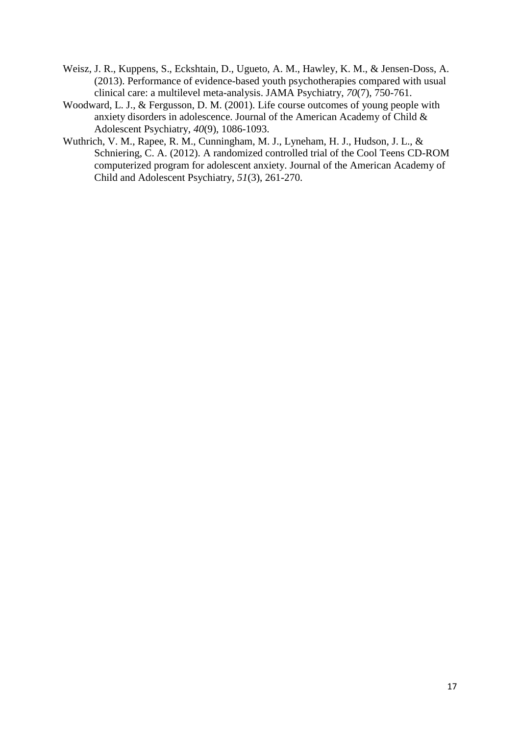- <span id="page-16-2"></span>Weisz, J. R., Kuppens, S., Eckshtain, D., Ugueto, A. M., Hawley, K. M., & Jensen-Doss, A. (2013). Performance of evidence-based youth psychotherapies compared with usual clinical care: a multilevel meta-analysis. JAMA Psychiatry, *70*(7), 750-761.
- <span id="page-16-0"></span>Woodward, L. J., & Fergusson, D. M. (2001). Life course outcomes of young people with anxiety disorders in adolescence. Journal of the American Academy of Child & Adolescent Psychiatry, *40*(9), 1086-1093.
- <span id="page-16-1"></span>Wuthrich, V. M., Rapee, R. M., Cunningham, M. J., Lyneham, H. J., Hudson, J. L., & Schniering, C. A. (2012). A randomized controlled trial of the Cool Teens CD-ROM computerized program for adolescent anxiety. Journal of the American Academy of Child and Adolescent Psychiatry, *51*(3), 261-270.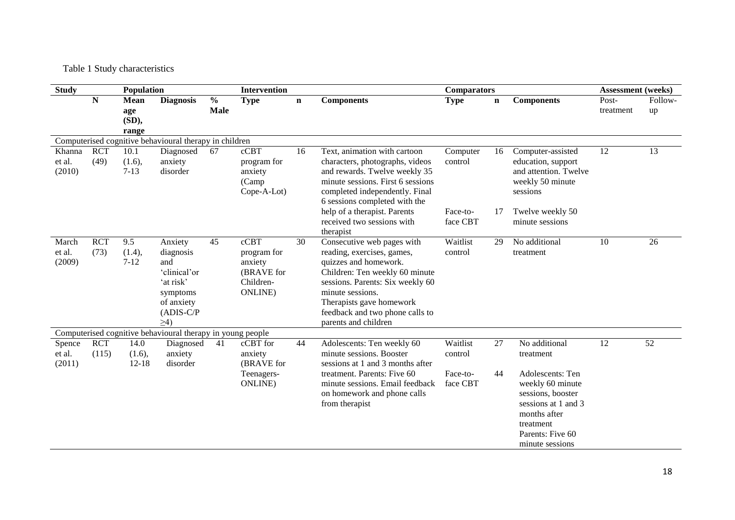## Table 1 Study characteristics

| <b>Study</b><br>N<br>Computerised cognitive behavioural therapy in children<br><b>RCT</b><br>Khanna<br>et al.<br>(49)<br>(2010)<br><b>RCT</b><br>March<br>et al.<br>(73)<br>(2009) |                     | <b>Population</b>           |                                                                                                                  |                              | Intervention                                                                 |             |                                                                                                                                                                                                                                                                    | <b>Comparators</b>   |             |                                                                                                                                                      | <b>Assessment</b> (weeks) |                 |
|------------------------------------------------------------------------------------------------------------------------------------------------------------------------------------|---------------------|-----------------------------|------------------------------------------------------------------------------------------------------------------|------------------------------|------------------------------------------------------------------------------|-------------|--------------------------------------------------------------------------------------------------------------------------------------------------------------------------------------------------------------------------------------------------------------------|----------------------|-------------|------------------------------------------------------------------------------------------------------------------------------------------------------|---------------------------|-----------------|
|                                                                                                                                                                                    |                     | <b>Mean</b><br>age          | <b>Diagnosis</b>                                                                                                 | $\frac{6}{6}$<br><b>Male</b> | <b>Type</b>                                                                  | $\mathbf n$ | <b>Components</b>                                                                                                                                                                                                                                                  | <b>Type</b>          | $\mathbf n$ | <b>Components</b>                                                                                                                                    | Post-<br>treatment        | Follow-<br>up   |
|                                                                                                                                                                                    |                     | (SD),<br>range              |                                                                                                                  |                              |                                                                              |             |                                                                                                                                                                                                                                                                    |                      |             |                                                                                                                                                      |                           |                 |
|                                                                                                                                                                                    |                     |                             |                                                                                                                  |                              |                                                                              |             |                                                                                                                                                                                                                                                                    |                      |             |                                                                                                                                                      |                           |                 |
|                                                                                                                                                                                    |                     | 10.1<br>(1.6),<br>$7 - 13$  | Diagnosed<br>anxiety<br>disorder                                                                                 | 67                           | cCBT<br>program for<br>anxiety<br>(Camp<br>Cope-A-Lot)                       | 16          | Text, animation with cartoon<br>characters, photographs, videos<br>and rewards. Twelve weekly 35<br>minute sessions. First 6 sessions<br>completed independently. Final<br>6 sessions completed with the                                                           | Computer<br>control  | 16          | Computer-assisted<br>education, support<br>and attention. Twelve<br>weekly 50 minute<br>sessions                                                     | 12                        | 13              |
|                                                                                                                                                                                    |                     |                             |                                                                                                                  |                              |                                                                              |             | help of a therapist. Parents<br>received two sessions with<br>therapist                                                                                                                                                                                            | Face-to-<br>face CBT | 17          | Twelve weekly 50<br>minute sessions                                                                                                                  |                           |                 |
|                                                                                                                                                                                    |                     | 9.5<br>(1.4),<br>$7 - 12$   | Anxiety<br>diagnosis<br>and<br>'clinical'or<br>'at risk'<br>symptoms<br>of anxiety<br>$(ADIS-C/P)$<br>$\geq 4$ ) | 45                           | cCBT<br>program for<br>anxiety<br>(BRAVE for<br>Children-<br><b>ONLINE</b> ) | 30          | Consecutive web pages with<br>reading, exercises, games,<br>quizzes and homework.<br>Children: Ten weekly 60 minute<br>sessions. Parents: Six weekly 60<br>minute sessions.<br>Therapists gave homework<br>feedback and two phone calls to<br>parents and children | Waitlist<br>control  | 29          | No additional<br>treatment                                                                                                                           | 10                        | 26              |
|                                                                                                                                                                                    |                     |                             | Computerised cognitive behavioural therapy in young people                                                       |                              |                                                                              |             |                                                                                                                                                                                                                                                                    |                      |             |                                                                                                                                                      |                           |                 |
| Spence<br>et al.<br>(2011)                                                                                                                                                         | <b>RCT</b><br>(115) | 14.0<br>(1.6),<br>$12 - 18$ | Diagnosed<br>anxiety<br>disorder                                                                                 | 41                           | cCBT for<br>anxiety<br>(BRAVE for                                            | 44          | Adolescents: Ten weekly 60<br>minute sessions. Booster<br>sessions at 1 and 3 months after                                                                                                                                                                         | Waitlist<br>control  | 27          | No additional<br>treatment                                                                                                                           | 12                        | $\overline{52}$ |
|                                                                                                                                                                                    |                     |                             |                                                                                                                  |                              | Teenagers-<br>ONLINE)                                                        |             | treatment. Parents: Five 60<br>minute sessions. Email feedback<br>on homework and phone calls<br>from therapist                                                                                                                                                    | Face-to-<br>face CBT | 44          | Adolescents: Ten<br>weekly 60 minute<br>sessions, booster<br>sessions at 1 and 3<br>months after<br>treatment<br>Parents: Five 60<br>minute sessions |                           |                 |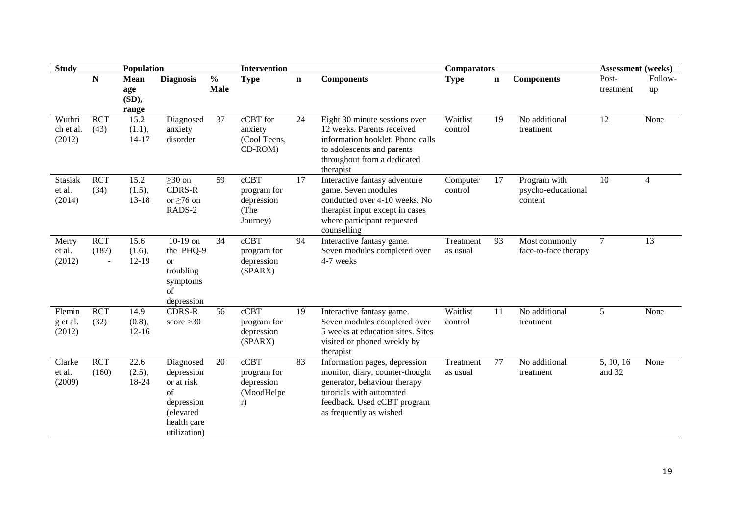| <b>Study</b> | Population<br>N<br><b>Mean</b> |                   |                  |                 | <b>Intervention</b>     |                 |                                                                | <b>Comparators</b> |                 |                      | <b>Assessment</b> (weeks) |                |
|--------------|--------------------------------|-------------------|------------------|-----------------|-------------------------|-----------------|----------------------------------------------------------------|--------------------|-----------------|----------------------|---------------------------|----------------|
|              |                                |                   | <b>Diagnosis</b> | $\frac{0}{0}$   | <b>Type</b>             | $\mathbf n$     | <b>Components</b>                                              | <b>Type</b>        | $\mathbf n$     | <b>Components</b>    | Post-                     | Follow-        |
|              |                                | age               |                  | <b>Male</b>     |                         |                 |                                                                |                    |                 |                      | treatment                 | up             |
|              |                                | (SD),             |                  |                 |                         |                 |                                                                |                    |                 |                      |                           |                |
|              |                                | range             |                  |                 |                         |                 |                                                                |                    |                 |                      |                           |                |
| Wuthri       | <b>RCT</b>                     | 15.2              | Diagnosed        | 37              | cCBT for                | 24              | Eight 30 minute sessions over                                  | Waitlist           | 19              | No additional        | 12                        | None           |
| ch et al.    | (43)                           | (1.1),            | anxiety          |                 | anxiety                 |                 | 12 weeks. Parents received                                     | control            |                 | treatment            |                           |                |
| (2012)       |                                | $14-17$           | disorder         |                 | (Cool Teens,<br>CD-ROM) |                 | information booklet. Phone calls<br>to adolescents and parents |                    |                 |                      |                           |                |
|              |                                |                   |                  |                 |                         |                 | throughout from a dedicated                                    |                    |                 |                      |                           |                |
|              |                                |                   |                  |                 |                         |                 | therapist                                                      |                    |                 |                      |                           |                |
| Stasiak      | <b>RCT</b>                     | 15.2              | $\geq 30$ on     | 59              | cCBT                    | 17              | Interactive fantasy adventure                                  | Computer           | 17              | Program with         | 10                        | $\overline{4}$ |
| et al.       | (34)                           | (1.5),            | <b>CDRS-R</b>    |                 | program for             |                 | game. Seven modules                                            | control            |                 | psycho-educational   |                           |                |
| (2014)       |                                | $13 - 18$         | or $\geq 76$ on  |                 | depression              |                 | conducted over 4-10 weeks. No                                  |                    |                 | content              |                           |                |
|              |                                |                   | RADS-2           |                 | (The                    |                 | therapist input except in cases                                |                    |                 |                      |                           |                |
|              |                                |                   |                  |                 | Journey)                |                 | where participant requested                                    |                    |                 |                      |                           |                |
|              |                                |                   |                  |                 |                         |                 | counselling                                                    |                    |                 |                      |                           |                |
| Merry        | <b>RCT</b>                     | 15.6              | $10-19$ on       | $\overline{34}$ | cCBT                    | $\overline{94}$ | Interactive fantasy game.                                      | Treatment          | 93              | Most commonly        | $\overline{7}$            | 13             |
| et al.       | (187)                          | (1.6),            | the PHQ-9        |                 | program for             |                 | Seven modules completed over                                   | as usual           |                 | face-to-face therapy |                           |                |
| (2012)       | $\blacksquare$                 | $12-19$           | <sub>or</sub>    |                 | depression              |                 | 4-7 weeks                                                      |                    |                 |                      |                           |                |
|              |                                |                   | troubling        |                 | (SPARX)                 |                 |                                                                |                    |                 |                      |                           |                |
|              |                                |                   | symptoms<br>of   |                 |                         |                 |                                                                |                    |                 |                      |                           |                |
|              |                                |                   | depression       |                 |                         |                 |                                                                |                    |                 |                      |                           |                |
| Flemin       | <b>RCT</b>                     | 14.9              | <b>CDRS-R</b>    | 56              | cCBT                    | $\overline{19}$ | Interactive fantasy game.                                      | Waitlist           | 11              | No additional        | 5                         | None           |
| g et al.     | (32)                           | (0.8),            | score $>30$      |                 | program for             |                 | Seven modules completed over                                   | control            |                 | treatment            |                           |                |
| (2012)       |                                | $12 - 16$         |                  |                 | depression              |                 | 5 weeks at education sites. Sites                              |                    |                 |                      |                           |                |
|              |                                |                   |                  |                 | (SPARX)                 |                 | visited or phoned weekly by                                    |                    |                 |                      |                           |                |
|              |                                |                   |                  |                 |                         |                 | therapist                                                      |                    |                 |                      |                           |                |
| Clarke       | <b>RCT</b>                     | $\overline{22.6}$ | Diagnosed        | 20              | cCBT                    | 83              | Information pages, depression                                  | Treatment          | $\overline{77}$ | No additional        | 5, 10, 16                 | None           |
| et al.       | (160)                          | (2.5),            | depression       |                 | program for             |                 | monitor, diary, counter-thought                                | as usual           |                 | treatment            | and 32                    |                |
| (2009)       |                                | 18-24             | or at risk       |                 | depression              |                 | generator, behaviour therapy                                   |                    |                 |                      |                           |                |
|              |                                |                   | of               |                 | (MoodHelpe              |                 | tutorials with automated                                       |                    |                 |                      |                           |                |
|              |                                |                   | depression       |                 | r)                      |                 | feedback. Used cCBT program                                    |                    |                 |                      |                           |                |
|              |                                |                   | (elevated        |                 |                         |                 | as frequently as wished                                        |                    |                 |                      |                           |                |
|              |                                |                   | health care      |                 |                         |                 |                                                                |                    |                 |                      |                           |                |
|              |                                |                   | utilization)     |                 |                         |                 |                                                                |                    |                 |                      |                           |                |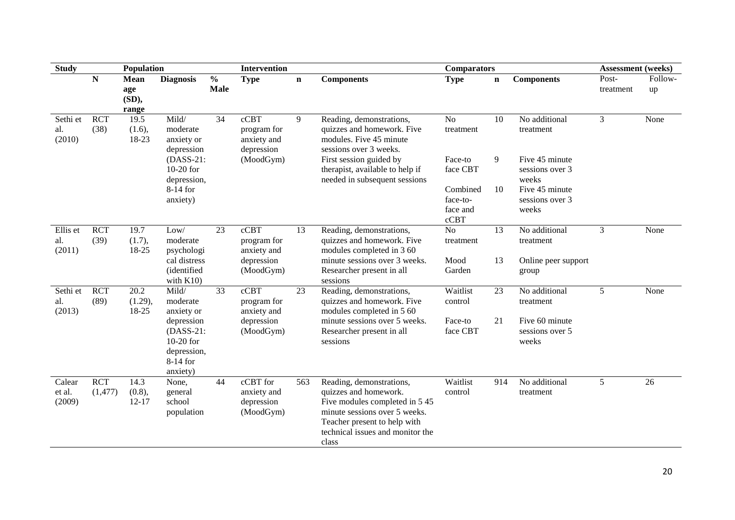| <b>Study</b>               | <b>Population</b>      |                               |                                                                                   |                              | <b>Intervention</b>                                |             |                                                                                                                                                                                                   | <b>Comparators</b>                       |             |                                            | <b>Assessment</b> (weeks) |               |
|----------------------------|------------------------|-------------------------------|-----------------------------------------------------------------------------------|------------------------------|----------------------------------------------------|-------------|---------------------------------------------------------------------------------------------------------------------------------------------------------------------------------------------------|------------------------------------------|-------------|--------------------------------------------|---------------------------|---------------|
|                            | ${\bf N}$              | Mean<br>age<br>(SD),<br>range | <b>Diagnosis</b>                                                                  | $\frac{0}{0}$<br><b>Male</b> | <b>Type</b>                                        | $\mathbf n$ | <b>Components</b>                                                                                                                                                                                 | <b>Type</b>                              | $\mathbf n$ | <b>Components</b>                          | Post-<br>treatment        | Follow-<br>up |
| Sethi et<br>al.<br>(2010)  | <b>RCT</b><br>(38)     | 19.5<br>(1.6),<br>18-23       | Mild/<br>moderate<br>anxiety or<br>depression                                     | 34                           | cCBT<br>program for<br>anxiety and<br>depression   | 9           | Reading, demonstrations,<br>quizzes and homework. Five<br>modules. Five 45 minute<br>sessions over 3 weeks.                                                                                       | N <sub>o</sub><br>treatment              | 10          | No additional<br>treatment                 | 3                         | None          |
|                            |                        |                               | $(DASS-21)$ :<br>$10-20$ for<br>depression,                                       |                              | (MoodGym)                                          |             | First session guided by<br>therapist, available to help if<br>needed in subsequent sessions                                                                                                       | Face-to<br>face CBT                      | 9           | Five 45 minute<br>sessions over 3<br>weeks |                           |               |
|                            |                        |                               | 8-14 for<br>anxiety)                                                              |                              |                                                    |             |                                                                                                                                                                                                   | Combined<br>face-to-<br>face and<br>cCBT | 10          | Five 45 minute<br>sessions over 3<br>weeks |                           |               |
| Ellis et                   | <b>RCT</b>             | 19.7                          | Low/                                                                              | 23                           | cCBT                                               | 13          | Reading, demonstrations,                                                                                                                                                                          | $\overline{No}$                          | 13          | No additional                              | 3                         | None          |
| al.<br>(2011)              | (39)                   | (1.7),<br>18-25               | moderate<br>psychologi                                                            |                              | program for<br>anxiety and                         |             | quizzes and homework. Five<br>modules completed in 3 60                                                                                                                                           | treatment                                |             | treatment                                  |                           |               |
|                            |                        |                               | cal distress<br><i>(identified</i><br>with $K10$ )                                |                              | depression<br>(MoodGym)                            |             | minute sessions over 3 weeks.<br>Researcher present in all<br>sessions                                                                                                                            | Mood<br>Garden                           | 13          | Online peer support<br>group               |                           |               |
| Sethi et<br>al.<br>(2013)  | <b>RCT</b><br>(89)     | 20.2<br>(1.29),<br>18-25      | Mild/<br>moderate<br>anxiety or                                                   | 33                           | cCBT<br>program for<br>anxiety and                 | 23          | Reading, demonstrations,<br>quizzes and homework. Five<br>modules completed in 5 60                                                                                                               | Waitlist<br>control                      | 23          | No additional<br>treatment                 | 5                         | None          |
|                            |                        |                               | depression<br>$(DASS-21)$ :<br>$10-20$ for<br>depression,<br>8-14 for<br>anxiety) |                              | depression<br>(MoodGym)                            |             | minute sessions over 5 weeks.<br>Researcher present in all<br>sessions                                                                                                                            | Face-to<br>face CBT                      | 21          | Five 60 minute<br>sessions over 5<br>weeks |                           |               |
| Calear<br>et al.<br>(2009) | <b>RCT</b><br>(1, 477) | 14.3<br>(0.8),<br>$12 - 17$   | None,<br>general<br>school<br>population                                          | 44                           | cCBT for<br>anxiety and<br>depression<br>(MoodGym) | 563         | Reading, demonstrations,<br>quizzes and homework.<br>Five modules completed in 5 45<br>minute sessions over 5 weeks.<br>Teacher present to help with<br>technical issues and monitor the<br>class | Waitlist<br>control                      | 914         | No additional<br>treatment                 | 5                         | 26            |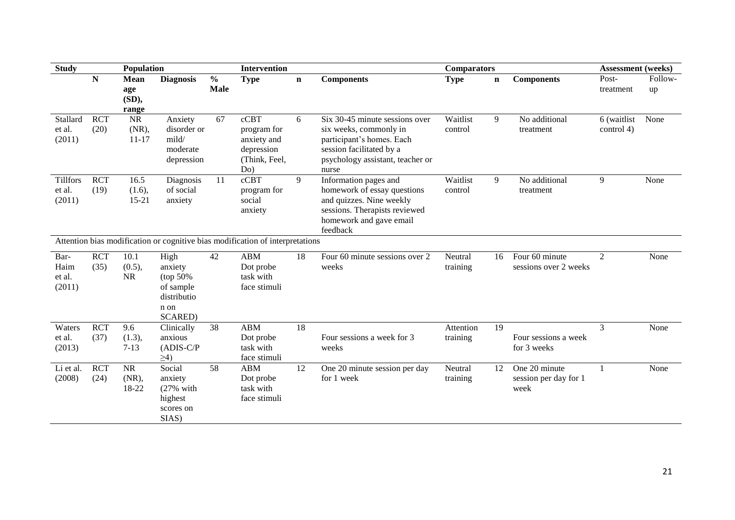| <b>Study</b>                     | <b>Population</b>  |                                      |                                                                               |                              | <b>Intervention</b>                                                           |             |                                                                                                                                                                | <b>Comparators</b>    |             |                                                | <b>Assessment</b> (weeks) |               |
|----------------------------------|--------------------|--------------------------------------|-------------------------------------------------------------------------------|------------------------------|-------------------------------------------------------------------------------|-------------|----------------------------------------------------------------------------------------------------------------------------------------------------------------|-----------------------|-------------|------------------------------------------------|---------------------------|---------------|
|                                  | N                  | <b>Mean</b><br>age<br>(SD),<br>range | <b>Diagnosis</b>                                                              | $\frac{6}{6}$<br><b>Male</b> | <b>Type</b>                                                                   | $\mathbf n$ | <b>Components</b>                                                                                                                                              | <b>Type</b>           | $\mathbf n$ | <b>Components</b>                              | Post-<br>treatment        | Follow-<br>up |
| Stallard<br>et al.<br>(2011)     | <b>RCT</b><br>(20) | <b>NR</b><br>(NR),<br>$11 - 17$      | Anxiety<br>disorder or<br>mild/<br>moderate<br>depression                     | 67                           | cCBT<br>program for<br>anxiety and<br>depression<br>(Think, Feel,<br>Do)      | 6           | Six 30-45 minute sessions over<br>six weeks, commonly in<br>participant's homes. Each<br>session facilitated by a<br>psychology assistant, teacher or<br>nurse | Waitlist<br>control   | 9           | No additional<br>treatment                     | 6 (waitlist<br>control 4) | None          |
| Tillfors<br>et al.<br>(2011)     | <b>RCT</b><br>(19) | 16.5<br>(1.6),<br>$15 - 21$          | Diagnosis<br>of social<br>anxiety                                             | 11                           | cCBT<br>program for<br>social<br>anxiety                                      | 9           | Information pages and<br>homework of essay questions<br>and quizzes. Nine weekly<br>sessions. Therapists reviewed<br>homework and gave email<br>feedback       | Waitlist<br>control   | 9           | No additional<br>treatment                     | 9                         | None          |
|                                  |                    |                                      |                                                                               |                              | Attention bias modification or cognitive bias modification of interpretations |             |                                                                                                                                                                |                       |             |                                                |                           |               |
| Bar-<br>Haim<br>et al.<br>(2011) | <b>RCT</b><br>(35) | 10.1<br>(0.5),<br><b>NR</b>          | High<br>anxiety<br>$(top 50\%$<br>of sample<br>distributio<br>n on<br>SCARED) | 42                           | <b>ABM</b><br>Dot probe<br>task with<br>face stimuli                          | 18          | Four 60 minute sessions over 2<br>weeks                                                                                                                        | Neutral<br>training   | 16          | Four 60 minute<br>sessions over 2 weeks        | 2                         | None          |
| Waters<br>et al.<br>(2013)       | <b>RCT</b><br>(37) | 9.6<br>(1.3),<br>$7 - 13$            | Clinically<br>anxious<br>$(ADIS-C/P)$<br>$\geq$ 4)                            | $\overline{38}$              | $\overline{ABM}$<br>Dot probe<br>task with<br>face stimuli                    | 18          | Four sessions a week for 3<br>weeks                                                                                                                            | Attention<br>training | 19          | Four sessions a week<br>for 3 weeks            | 3                         | None          |
| Li et al.<br>(2008)              | <b>RCT</b><br>(24) | <b>NR</b><br>$(NR)$ ,<br>18-22       | Social<br>anxiety<br>$(27\%$ with<br>highest<br>scores on<br>SIAS)            | 58                           | <b>ABM</b><br>Dot probe<br>task with<br>face stimuli                          | 12          | One 20 minute session per day<br>for 1 week                                                                                                                    | Neutral<br>training   | 12          | One 20 minute<br>session per day for 1<br>week |                           | None          |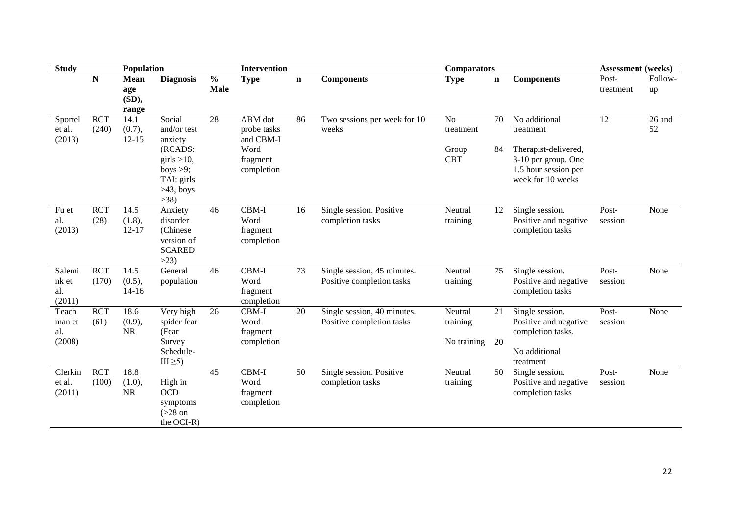| <b>Study</b>                     | Population                |                               |                                                                                                                      | Intervention                            |                                                                       |             | <b>Comparators</b>                                       |                                                    |             | <b>Assessment</b> (weeks)                                                                                              |                    |               |
|----------------------------------|---------------------------|-------------------------------|----------------------------------------------------------------------------------------------------------------------|-----------------------------------------|-----------------------------------------------------------------------|-------------|----------------------------------------------------------|----------------------------------------------------|-------------|------------------------------------------------------------------------------------------------------------------------|--------------------|---------------|
|                                  | ${\bf N}$                 | Mean<br>age<br>(SD),<br>range | <b>Diagnosis</b>                                                                                                     | $\overline{\frac{0}{0}}$<br><b>Male</b> | <b>Type</b>                                                           | $\mathbf n$ | <b>Components</b>                                        | <b>Type</b>                                        | $\mathbf n$ | <b>Components</b>                                                                                                      | Post-<br>treatment | Follow-<br>up |
| Sportel<br>et al.<br>(2013)      | <b>RCT</b><br>(240)       | 14.1<br>(0.7),<br>$12 - 15$   | Social<br>and/or test<br>anxiety<br>(RCADS:<br>girls $>10$ ,<br>boys $>9$ ;<br>TAI: girls<br>$>43$ , boys<br>$>38$ ) | 28                                      | ABM dot<br>probe tasks<br>and CBM-I<br>Word<br>fragment<br>completion | 86          | Two sessions per week for 10<br>weeks                    | N <sub>o</sub><br>treatment<br>Group<br><b>CBT</b> | 70<br>84    | No additional<br>treatment<br>Therapist-delivered,<br>3-10 per group. One<br>1.5 hour session per<br>week for 10 weeks | 12                 | 26 and<br>52  |
| Fu et<br>al.<br>(2013)           | <b>RCT</b><br>(28)        | 14.5<br>(1.8),<br>$12 - 17$   | Anxiety<br>disorder<br>(Chinese<br>version of<br><b>SCARED</b><br>>23                                                | 46                                      | CBM-I<br>Word<br>fragment<br>completion                               | 16          | Single session. Positive<br>completion tasks             | Neutral<br>training                                | 12          | Single session.<br>Positive and negative<br>completion tasks                                                           | Post-<br>session   | None          |
| Salemi<br>nk et<br>al.<br>(2011) | <b>RCT</b><br>(170)       | 14.5<br>(0.5),<br>$14 - 16$   | General<br>population                                                                                                | 46                                      | CBM-I<br>Word<br>fragment<br>completion                               | 73          | Single session, 45 minutes.<br>Positive completion tasks | Neutral<br>training                                | 75          | Single session.<br>Positive and negative<br>completion tasks                                                           | Post-<br>session   | None          |
| Teach<br>man et<br>al.<br>(2008) | <b>RCT</b><br>(61)        | 18.6<br>(0.9),<br><b>NR</b>   | Very high<br>spider fear<br>(Fear<br>Survey<br>Schedule-<br>III $\geq$ 5)                                            | 26                                      | CBM-I<br>Word<br>fragment<br>completion                               | 20          | Single session, 40 minutes.<br>Positive completion tasks | Neutral<br>training<br>No training                 | 21<br>20    | Single session.<br>Positive and negative<br>completion tasks.<br>No additional<br>treatment                            | Post-<br>session   | None          |
| Clerkin<br>et al.<br>(2011)      | $\overline{RCT}$<br>(100) | 18.8<br>(1.0),<br><b>NR</b>   | High in<br><b>OCD</b><br>symptoms<br>$(>28$ on<br>the OCI-R)                                                         | 45                                      | CBM-I<br>Word<br>fragment<br>completion                               | 50          | Single session. Positive<br>completion tasks             | Neutral<br>training                                | 50          | Single session.<br>Positive and negative<br>completion tasks                                                           | Post-<br>session   | None          |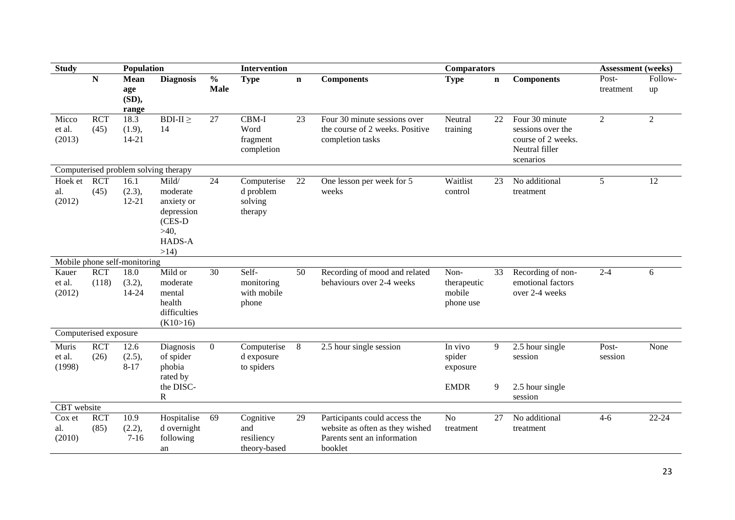| <b>Study</b>              | <b>Intervention</b><br>Population |                                      |                                                                                                   |                              |                                                |             | <b>Comparators</b>                                                                                         |                                            |             | <b>Assessment</b> (weeks)                                                                |                    |                 |
|---------------------------|-----------------------------------|--------------------------------------|---------------------------------------------------------------------------------------------------|------------------------------|------------------------------------------------|-------------|------------------------------------------------------------------------------------------------------------|--------------------------------------------|-------------|------------------------------------------------------------------------------------------|--------------------|-----------------|
|                           | N                                 | <b>Mean</b><br>age<br>(SD),<br>range | <b>Diagnosis</b>                                                                                  | $\frac{0}{0}$<br><b>Male</b> | <b>Type</b>                                    | $\mathbf n$ | <b>Components</b>                                                                                          | <b>Type</b>                                | $\mathbf n$ | <b>Components</b>                                                                        | Post-<br>treatment | Follow-<br>up   |
| Micco<br>et al.<br>(2013) | <b>RCT</b><br>(45)                | 18.3<br>(1.9),<br>$14 - 21$          | $BDI-II \geq$<br>14                                                                               | 27                           | CBM-I<br>Word<br>fragment<br>completion        | 23          | Four 30 minute sessions over<br>the course of 2 weeks. Positive<br>completion tasks                        | Neutral<br>training                        | 22          | Four 30 minute<br>sessions over the<br>course of 2 weeks.<br>Neutral filler<br>scenarios | $\overline{2}$     | $\overline{2}$  |
|                           |                                   |                                      | Computerised problem solving therapy                                                              |                              |                                                |             |                                                                                                            |                                            |             |                                                                                          |                    |                 |
| Hoek et<br>al.<br>(2012)  | <b>RCT</b><br>(45)                | 16.1<br>(2.3),<br>$12 - 21$          | Mild/<br>moderate<br>anxiety or<br>depression<br>$(CES-D)$<br>$>40$ ,<br><b>HADS-A</b><br>$>14$ ) | 24                           | Computerise<br>d problem<br>solving<br>therapy | 22          | One lesson per week for 5<br>weeks                                                                         | Waitlist<br>control                        | 23          | No additional<br>treatment                                                               | 5                  | $\overline{12}$ |
|                           |                                   | Mobile phone self-monitoring         |                                                                                                   |                              |                                                |             |                                                                                                            |                                            |             |                                                                                          |                    |                 |
| Kauer<br>et al.<br>(2012) | <b>RCT</b><br>(118)               | 18.0<br>(3.2),<br>14-24              | Mild or<br>moderate<br>mental<br>health<br>difficulties<br>(K10>16)                               | 30                           | Self-<br>monitoring<br>with mobile<br>phone    | 50          | Recording of mood and related<br>behaviours over 2-4 weeks                                                 | Non-<br>therapeutic<br>mobile<br>phone use | 33          | Recording of non-<br>emotional factors<br>over 2-4 weeks                                 | $2 - 4$            | 6               |
| Computerised exposure     |                                   |                                      |                                                                                                   |                              |                                                |             |                                                                                                            |                                            |             |                                                                                          |                    |                 |
| Muris<br>et al.<br>(1998) | <b>RCT</b><br>(26)                | 12.6<br>(2.5),<br>$8 - 17$           | Diagnosis<br>of spider<br>phobia<br>rated by                                                      | $\overline{0}$               | Computerise<br>d exposure<br>to spiders        | 8           | 2.5 hour single session                                                                                    | In vivo<br>spider<br>exposure              | 9           | 2.5 hour single<br>session                                                               | Post-<br>session   | None            |
|                           |                                   |                                      | the DISC-<br>$\mathbf R$                                                                          |                              |                                                |             |                                                                                                            | <b>EMDR</b>                                | 9           | 2.5 hour single<br>session                                                               |                    |                 |
| <b>CBT</b> website        |                                   |                                      |                                                                                                   |                              |                                                |             |                                                                                                            |                                            |             |                                                                                          |                    |                 |
| Cox et<br>al.<br>(2010)   | <b>RCT</b><br>(85)                | 10.9<br>(2.2),<br>$7 - 16$           | Hospitalise<br>d overnight<br>following<br>an                                                     | 69                           | Cognitive<br>and<br>resiliency<br>theory-based | 29          | Participants could access the<br>website as often as they wished<br>Parents sent an information<br>booklet | N <sub>o</sub><br>treatment                | 27          | No additional<br>treatment                                                               | $4 - 6$            | $22 - 24$       |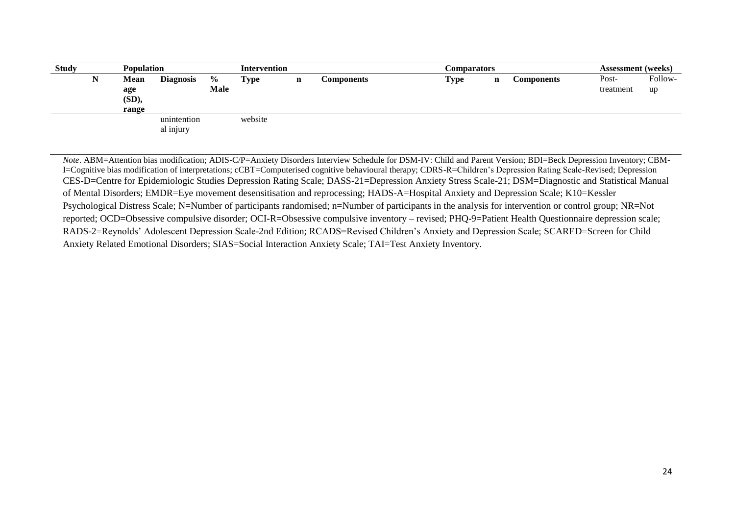| <b>Study</b> |           | <b>Population</b>                    |                          |                              | <b>Intervention</b> |             |            |      | Comparators |                   | <b>Assessment</b> (weeks) |               |
|--------------|-----------|--------------------------------------|--------------------------|------------------------------|---------------------|-------------|------------|------|-------------|-------------------|---------------------------|---------------|
|              | <b>TA</b> | <b>Mean</b><br>age<br>(SD),<br>range | <b>Diagnosis</b>         | $\frac{6}{9}$<br><b>Male</b> | <b>Type</b>         | $\mathbf n$ | Components | Type | $\mathbf n$ | <b>Components</b> | Post-<br>treatment        | Follow-<br>up |
|              |           |                                      | unintention<br>al injury |                              | website             |             |            |      |             |                   |                           |               |

*Note*. ABM=Attention bias modification; ADIS-C/P=Anxiety Disorders Interview Schedule for DSM-IV: Child and Parent Version; BDI=Beck Depression Inventory; CBM-I=Cognitive bias modification of interpretations; cCBT=Computerised cognitive behavioural therapy; CDRS-R=Children's Depression Rating Scale-Revised; Depression CES-D=Centre for Epidemiologic Studies Depression Rating Scale; DASS-21=Depression Anxiety Stress Scale-21; DSM=Diagnostic and Statistical Manual of Mental Disorders; EMDR=Eye movement desensitisation and reprocessing; HADS-A=Hospital Anxiety and Depression Scale; K10=Kessler Psychological Distress Scale; N=Number of participants randomised; n=Number of participants in the analysis for intervention or control group; NR=Not reported; OCD=Obsessive compulsive disorder; OCI-R=Obsessive compulsive inventory – revised; PHQ-9=Patient Health Questionnaire depression scale; RADS-2=Reynolds' Adolescent Depression Scale-2nd Edition; RCADS=Revised Children's Anxiety and Depression Scale; SCARED=Screen for Child Anxiety Related Emotional Disorders; SIAS=Social Interaction Anxiety Scale; TAI=Test Anxiety Inventory.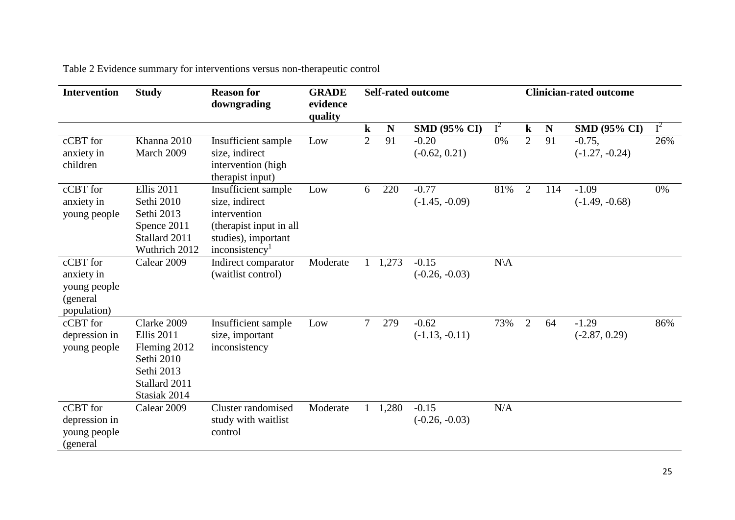| <b>Intervention</b>                                               | <b>Study</b>                                                                                                  | <b>Reason for</b><br>downgrading                                                                                                      | <b>GRADE</b><br>evidence<br>quality | <b>Self-rated outcome</b> |             |                             |                |                |           | <b>Clinician-rated outcome</b> |       |
|-------------------------------------------------------------------|---------------------------------------------------------------------------------------------------------------|---------------------------------------------------------------------------------------------------------------------------------------|-------------------------------------|---------------------------|-------------|-----------------------------|----------------|----------------|-----------|--------------------------------|-------|
|                                                                   |                                                                                                               |                                                                                                                                       |                                     | $\bf k$                   | $\mathbf N$ | <b>SMD</b> (95% CI)         | $I^2$          | $\bf k$        | ${\bf N}$ | <b>SMD</b> (95% CI)            | $I^2$ |
| cCBT for<br>anxiety in<br>children                                | Khanna 2010<br>March 2009                                                                                     | Insufficient sample<br>size, indirect<br>intervention (high<br>therapist input)                                                       | Low                                 | $\overline{2}$            | 91          | $-0.20$<br>$(-0.62, 0.21)$  | $0\%$          | $\overline{2}$ | 91        | $-0.75,$<br>$(-1.27, -0.24)$   | 26%   |
| cCBT for<br>anxiety in<br>young people                            | <b>Ellis</b> 2011<br>Sethi 2010<br>Sethi 2013<br>Spence 2011<br>Stallard 2011<br>Wuthrich 2012                | Insufficient sample<br>size, indirect<br>intervention<br>(therapist input in all<br>studies), important<br>inconsistency <sup>1</sup> | Low                                 | 6                         | 220         | $-0.77$<br>$(-1.45, -0.09)$ | 81%            | 2              | 114       | $-1.09$<br>$(-1.49, -0.68)$    | 0%    |
| cCBT for<br>anxiety in<br>young people<br>(general<br>population) | Calear 2009                                                                                                   | Indirect comparator<br>(waitlist control)                                                                                             | Moderate                            | 1                         | 1,273       | $-0.15$<br>$(-0.26, -0.03)$ | $N\setminus A$ |                |           |                                |       |
| cCBT for<br>depression in<br>young people                         | Clarke 2009<br><b>Ellis</b> 2011<br>Fleming 2012<br>Sethi 2010<br>Sethi 2013<br>Stallard 2011<br>Stasiak 2014 | Insufficient sample<br>size, important<br>inconsistency                                                                               | Low                                 | $\tau$                    | 279         | $-0.62$<br>$(-1.13, -0.11)$ | 73%            | $\overline{2}$ | 64        | $-1.29$<br>$(-2.87, 0.29)$     | 86%   |
| cCBT for<br>depression in<br>young people<br>(general             | Calear 2009                                                                                                   | Cluster randomised<br>study with waitlist<br>control                                                                                  | Moderate                            |                           | 1,280       | $-0.15$<br>$(-0.26, -0.03)$ | $\rm N/A$      |                |           |                                |       |

Table 2 Evidence summary for interventions versus non-therapeutic control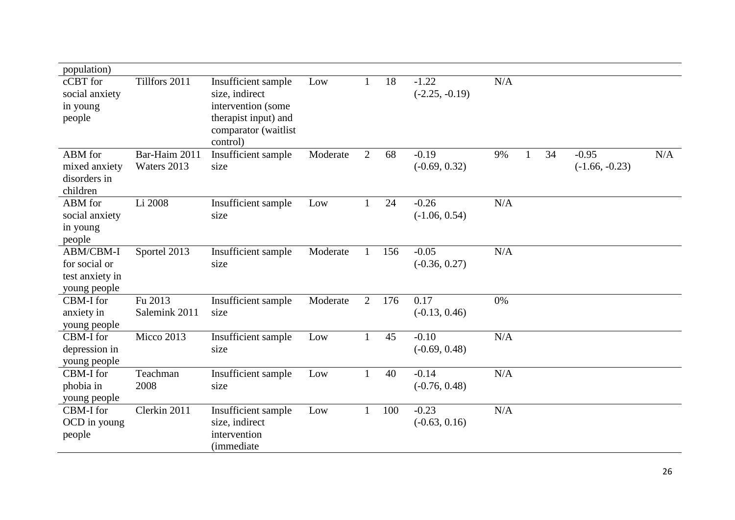| population)                                                   |                              |                                                                                                                         |          |                |     |                             |     |              |    |                             |     |
|---------------------------------------------------------------|------------------------------|-------------------------------------------------------------------------------------------------------------------------|----------|----------------|-----|-----------------------------|-----|--------------|----|-----------------------------|-----|
| cCBT for<br>social anxiety<br>in young<br>people              | Tillfors 2011                | Insufficient sample<br>size, indirect<br>intervention (some<br>therapist input) and<br>comparator (waitlist<br>control) | Low      |                | 18  | $-1.22$<br>$(-2.25, -0.19)$ | N/A |              |    |                             |     |
| ABM for<br>mixed anxiety<br>disorders in<br>children          | Bar-Haim 2011<br>Waters 2013 | Insufficient sample<br>size                                                                                             | Moderate | $\overline{2}$ | 68  | $-0.19$<br>$(-0.69, 0.32)$  | 9%  | $\mathbf{1}$ | 34 | $-0.95$<br>$(-1.66, -0.23)$ | N/A |
| ABM for<br>social anxiety<br>in young<br>people               | Li 2008                      | Insufficient sample<br>size                                                                                             | Low      |                | 24  | $-0.26$<br>$(-1.06, 0.54)$  | N/A |              |    |                             |     |
| ABM/CBM-I<br>for social or<br>test anxiety in<br>young people | Sportel 2013                 | Insufficient sample<br>size                                                                                             | Moderate | $\mathbf{1}$   | 156 | $-0.05$<br>$(-0.36, 0.27)$  | N/A |              |    |                             |     |
| CBM-I for<br>anxiety in<br>young people                       | Fu 2013<br>Salemink 2011     | Insufficient sample<br>size                                                                                             | Moderate | $\overline{2}$ | 176 | 0.17<br>$(-0.13, 0.46)$     | 0%  |              |    |                             |     |
| CBM-I for<br>depression in<br>young people                    | Micco 2013                   | Insufficient sample<br>size                                                                                             | Low      | 1              | 45  | $-0.10$<br>$(-0.69, 0.48)$  | N/A |              |    |                             |     |
| CBM-I for<br>phobia in<br>young people                        | Teachman<br>2008             | Insufficient sample<br>size                                                                                             | Low      |                | 40  | $-0.14$<br>$(-0.76, 0.48)$  | N/A |              |    |                             |     |
| CBM-I for<br>OCD in young<br>people                           | Clerkin 2011                 | Insufficient sample<br>size, indirect<br>intervention<br><i>(immediate)</i>                                             | Low      | 1              | 100 | $-0.23$<br>$(-0.63, 0.16)$  | N/A |              |    |                             |     |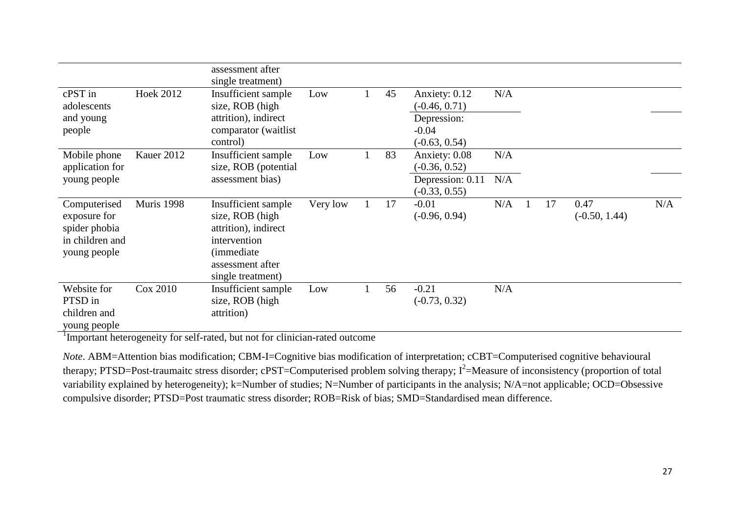|                                                                                  |                  | assessment after<br>single treatment)                                                                                                         |          |    |                                                                               |            |    |                         |     |
|----------------------------------------------------------------------------------|------------------|-----------------------------------------------------------------------------------------------------------------------------------------------|----------|----|-------------------------------------------------------------------------------|------------|----|-------------------------|-----|
| cPST in<br>adolescents<br>and young<br>people                                    | <b>Hoek 2012</b> | Insufficient sample<br>size, ROB (high<br>attrition), indirect<br>comparator (waitlist)<br>control)                                           | Low      | 45 | Anxiety: 0.12<br>$(-0.46, 0.71)$<br>Depression:<br>$-0.04$<br>$(-0.63, 0.54)$ | N/A        |    |                         |     |
| Mobile phone<br>application for<br>young people                                  | Kauer 2012       | Insufficient sample<br>size, ROB (potential<br>assessment bias)                                                                               | Low      | 83 | Anxiety: 0.08<br>$(-0.36, 0.52)$<br>Depression: 0.11<br>$(-0.33, 0.55)$       | N/A<br>N/A |    |                         |     |
| Computerised<br>exposure for<br>spider phobia<br>in children and<br>young people | Muris 1998       | Insufficient sample<br>size, ROB (high<br>attrition), indirect<br>intervention<br><i>(immediate)</i><br>assessment after<br>single treatment) | Very low | 17 | $-0.01$<br>$(-0.96, 0.94)$                                                    | N/A        | 17 | 0.47<br>$(-0.50, 1.44)$ | N/A |
| Website for<br>PTSD in<br>children and<br>young people                           | <b>Cox 2010</b>  | Insufficient sample<br>size, ROB (high<br>attrition)                                                                                          | Low      | 56 | $-0.21$<br>$(-0.73, 0.32)$                                                    | N/A        |    |                         |     |

<sup>1</sup>Important heterogeneity for self-rated, but not for clinician-rated outcome

*Note*. ABM=Attention bias modification; CBM-I=Cognitive bias modification of interpretation; cCBT=Computerised cognitive behavioural therapy; PTSD=Post-traumaitc stress disorder; cPST=Computerised problem solving therapy;  $I^2$ =Measure of inconsistency (proportion of total variability explained by heterogeneity); k=Number of studies; N=Number of participants in the analysis; N/A=not applicable; OCD=Obsessive compulsive disorder; PTSD=Post traumatic stress disorder; ROB=Risk of bias; SMD=Standardised mean difference.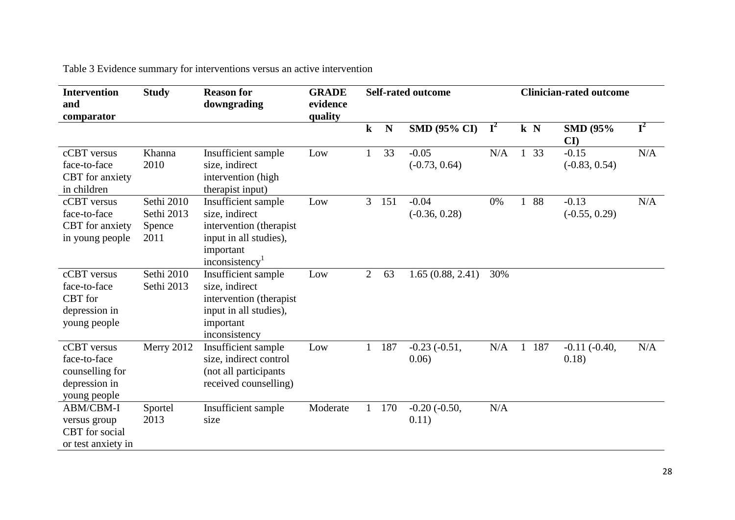| <b>Intervention</b><br>and<br>comparator                                        | <b>Study</b>                               | <b>Reason for</b><br>downgrading                                                                                                       | <b>GRADE</b><br>evidence<br>quality | <b>Self-rated outcome</b> |             |                            |                |              |      | <b>Clinician-rated outcome</b>             |       |
|---------------------------------------------------------------------------------|--------------------------------------------|----------------------------------------------------------------------------------------------------------------------------------------|-------------------------------------|---------------------------|-------------|----------------------------|----------------|--------------|------|--------------------------------------------|-------|
|                                                                                 |                                            |                                                                                                                                        |                                     | $\bf k$                   | $\mathbf N$ | <b>SMD</b> (95% CI)        | $\mathbf{I}^2$ |              | k N  | <b>SMD</b> (95%)<br>$\mathbf{C}\mathbf{D}$ | $I^2$ |
| cCBT versus<br>face-to-face<br>CBT for anxiety<br>in children                   | Khanna<br>2010                             | Insufficient sample<br>size, indirect<br>intervention (high<br>therapist input)                                                        | Low                                 |                           | 33          | $-0.05$<br>$(-0.73, 0.64)$ | N/A            |              | 1 33 | $-0.15$<br>$(-0.83, 0.54)$                 | N/A   |
| cCBT versus<br>face-to-face<br><b>CBT</b> for anxiety<br>in young people        | Sethi 2010<br>Sethi 2013<br>Spence<br>2011 | Insufficient sample<br>size, indirect<br>intervention (therapist)<br>input in all studies),<br>important<br>inconsistency <sup>1</sup> | Low                                 | 3                         | 151         | $-0.04$<br>$(-0.36, 0.28)$ | 0%             |              | 1 88 | $-0.13$<br>$(-0.55, 0.29)$                 | N/A   |
| cCBT versus<br>face-to-face<br>CBT for<br>depression in<br>young people         | Sethi 2010<br>Sethi 2013                   | Insufficient sample<br>size, indirect<br>intervention (therapist<br>input in all studies),<br>important<br>inconsistency               | Low                                 | $\overline{2}$            | 63          | 1.65(0.88, 2.41)           | 30%            |              |      |                                            |       |
| cCBT versus<br>face-to-face<br>counselling for<br>depression in<br>young people | Merry 2012                                 | Insufficient sample<br>size, indirect control<br>(not all participants<br>received counselling)                                        | Low                                 |                           | 187         | $-0.23(-0.51,$<br>0.06)    | N/A            | $\mathbf{1}$ | 187  | $-0.11(-0.40,$<br>0.18)                    | N/A   |
| ABM/CBM-I<br>versus group<br>CBT for social<br>or test anxiety in               | Sportel<br>2013                            | Insufficient sample<br>size                                                                                                            | Moderate                            |                           | 170         | $-0.20$ $(-0.50,$<br>0.11) | N/A            |              |      |                                            |       |

# Table 3 Evidence summary for interventions versus an active intervention